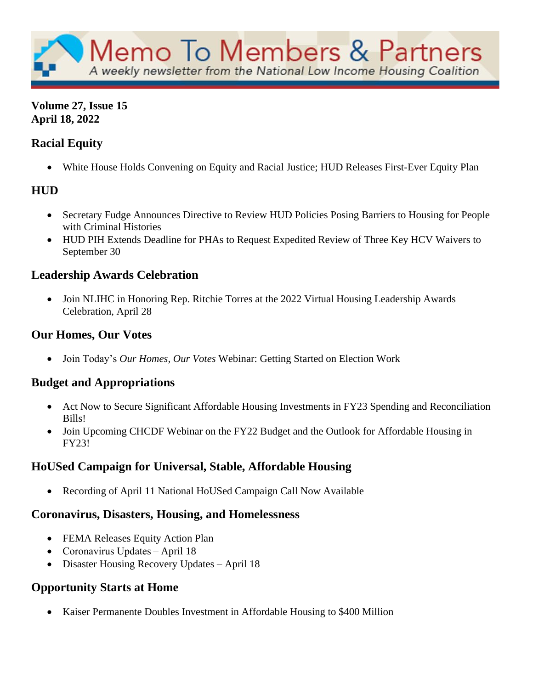

## **Volume 27, Issue 15 April 18, 2022**

# **Racial Equity**

• White House Holds Convening on Equity and Racial Justice; HUD Releases First-Ever Equity Plan

# **HUD**

- Secretary Fudge Announces Directive to Review HUD Policies Posing Barriers to Housing for People with Criminal Histories
- HUD PIH Extends Deadline for PHAs to Request Expedited Review of Three Key HCV Waivers to September 30

# **Leadership Awards Celebration**

• Join NLIHC in Honoring Rep. Ritchie Torres at the 2022 Virtual Housing Leadership Awards Celebration, April 28

## **Our Homes, Our Votes**

• Join Today's *Our Homes, Our Votes* Webinar: Getting Started on Election Work

# **Budget and Appropriations**

- Act Now to Secure Significant Affordable Housing Investments in FY23 Spending and Reconciliation Bills!
- Join Upcoming CHCDF Webinar on the FY22 Budget and the Outlook for Affordable Housing in FY23!

# **HoUSed Campaign for Universal, Stable, Affordable Housing**

• Recording of April 11 National HoUSed Campaign Call Now Available

# **Coronavirus, Disasters, Housing, and Homelessness**

- FEMA Releases Equity Action Plan
- Coronavirus Updates April 18
- Disaster Housing Recovery Updates April 18

# **Opportunity Starts at Home**

• Kaiser Permanente Doubles Investment in Affordable Housing to \$400 Million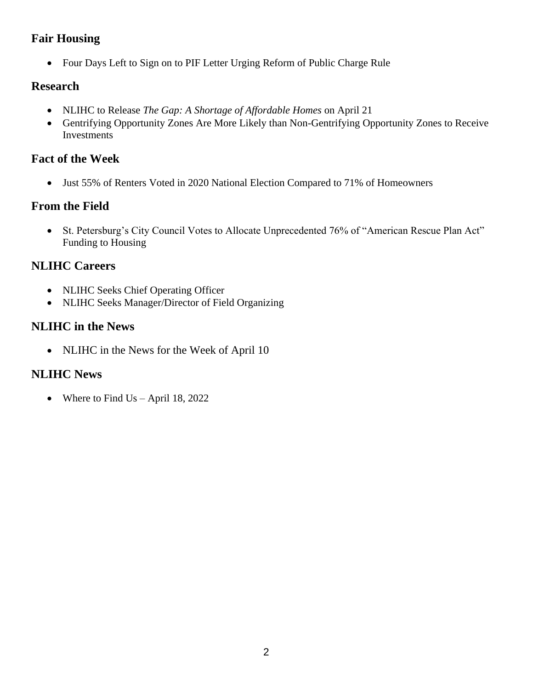## **Fair Housing**

• Four Days Left to Sign on to PIF Letter Urging Reform of Public Charge Rule

# **Research**

- NLIHC to Release *The Gap: A Shortage of Affordable Homes* on April 21
- Gentrifying Opportunity Zones Are More Likely than Non-Gentrifying Opportunity Zones to Receive Investments

## **Fact of the Week**

• Just 55% of Renters Voted in 2020 National Election Compared to 71% of Homeowners

# **From the Field**

• St. Petersburg's City Council Votes to Allocate Unprecedented 76% of "American Rescue Plan Act" Funding to Housing

# **NLIHC Careers**

- NLIHC Seeks Chief Operating Officer
- NLIHC Seeks Manager/Director of Field Organizing

# **NLIHC in the News**

• NLIHC in the News for the Week of April 10

# **NLIHC News**

• Where to Find Us – April 18, 2022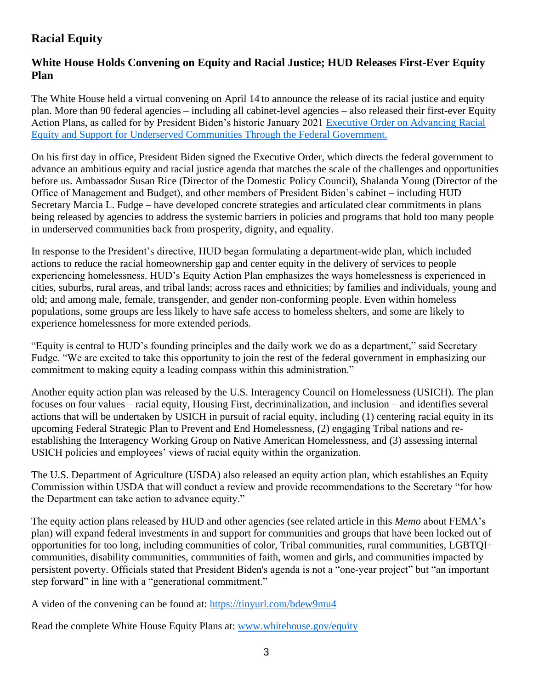# **Racial Equity**

### **White House Holds Convening on Equity and Racial Justice; HUD Releases First-Ever Equity Plan**

The White House held a virtual convening on April 14 to announce the release of its racial justice and equity plan. More than 90 federal agencies – including all cabinet-level agencies – also released their first-ever Equity Action Plans, as called for by President Biden's historic January 2021 [Executive Order on Advancing Racial](https://www.whitehouse.gov/briefing-room/presidential-actions/2021/01/20/executive-order-advancing-racial-equity-and-support-for-underserved-communities-through-the-federal-government/)  [Equity and Support for Underserved Communities Through the Federal Government.](https://www.whitehouse.gov/briefing-room/presidential-actions/2021/01/20/executive-order-advancing-racial-equity-and-support-for-underserved-communities-through-the-federal-government/)

On his first day in office, President Biden signed the Executive Order, which directs the federal government to advance an ambitious equity and racial justice agenda that matches the scale of the challenges and opportunities before us. Ambassador Susan Rice (Director of the Domestic Policy Council), Shalanda Young (Director of the Office of Management and Budget), and other members of President Biden's cabinet – including HUD Secretary Marcia L. Fudge – have developed concrete strategies and articulated clear commitments in plans being released by agencies to address the systemic barriers in policies and programs that hold too many people in underserved communities back from prosperity, dignity, and equality.

In response to the President's directive, HUD began formulating a department-wide plan, which included actions to reduce the racial homeownership gap and center equity in the delivery of services to people experiencing homelessness. HUD's Equity Action Plan emphasizes the ways homelessness is experienced in cities, suburbs, rural areas, and tribal lands; across races and ethnicities; by families and individuals, young and old; and among male, female, transgender, and gender non-conforming people. Even within homeless populations, some groups are less likely to have safe access to homeless shelters, and some are likely to experience homelessness for more extended periods.

"Equity is central to HUD's founding principles and the daily work we do as a department," said Secretary Fudge. "We are excited to take this opportunity to join the rest of the federal government in emphasizing our commitment to making equity a leading compass within this administration."

Another equity action plan was released by the U.S. Interagency Council on Homelessness (USICH). The plan focuses on four values – racial equity, Housing First, decriminalization, and inclusion – and identifies several actions that will be undertaken by USICH in pursuit of racial equity, including (1) centering racial equity in its upcoming Federal Strategic Plan to Prevent and End Homelessness, (2) engaging Tribal nations and reestablishing the Interagency Working Group on Native American Homelessness, and (3) assessing internal USICH policies and employees' views of racial equity within the organization.

The U.S. Department of Agriculture (USDA) also released an equity action plan, which establishes an Equity Commission within USDA that will conduct a review and provide recommendations to the Secretary "for how the Department can take action to advance equity."

The equity action plans released by HUD and other agencies (see related article in this *Memo* about FEMA's plan) will expand federal investments in and support for communities and groups that have been locked out of opportunities for too long, including communities of color, Tribal communities, rural communities, LGBTQI+ communities, disability communities, communities of faith, women and girls, and communities impacted by persistent poverty. Officials stated that President Biden's agenda is not a "one-year project" but "an important step forward" in line with a "generational commitment."

A video of the convening can be found at:<https://tinyurl.com/bdew9mu4>

Read the complete White House Equity Plans at: [www.whitehouse.gov/equity](http://www.whitehouse.gov/equity)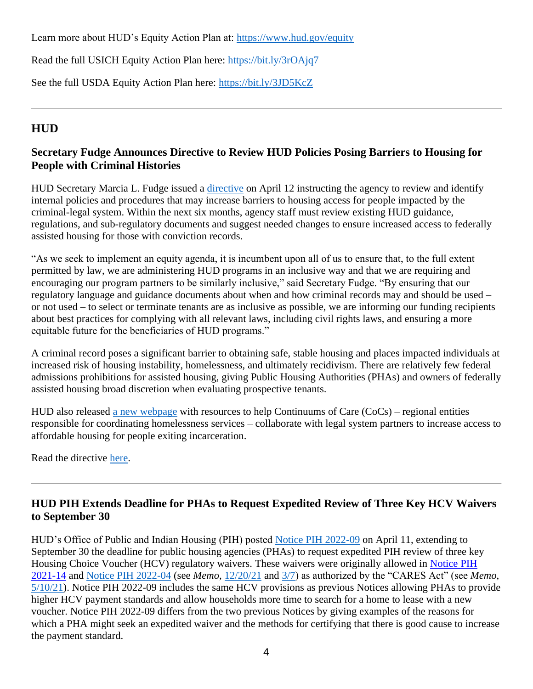Learn more about HUD's Equity Action Plan at:<https://www.hud.gov/equity>

Read the full USICH Equity Action Plan here:<https://bit.ly/3rOAjq7>

See the full USDA Equity Action Plan here:<https://bit.ly/3JD5KcZ>

# **HUD**

## **Secretary Fudge Announces Directive to Review HUD Policies Posing Barriers to Housing for People with Criminal Histories**

HUD Secretary Marcia L. Fudge issued a [directive](https://www.hud.gov/sites/dfiles/Main/documents/Memo_on_Criminal_Records.pdf) on April 12 instructing the agency to review and identify internal policies and procedures that may increase barriers to housing access for people impacted by the criminal-legal system. Within the next six months, agency staff must review existing HUD guidance, regulations, and sub-regulatory documents and suggest needed changes to ensure increased access to federally assisted housing for those with conviction records.

"As we seek to implement an equity agenda, it is incumbent upon all of us to ensure that, to the full extent permitted by law, we are administering HUD programs in an inclusive way and that we are requiring and encouraging our program partners to be similarly inclusive," said Secretary Fudge. "By ensuring that our regulatory language and guidance documents about when and how criminal records may and should be used – or not used – to select or terminate tenants are as inclusive as possible, we are informing our funding recipients about best practices for complying with all relevant laws, including civil rights laws, and ensuring a more equitable future for the beneficiaries of HUD programs."

A criminal record poses a significant barrier to obtaining safe, stable housing and places impacted individuals at increased risk of housing instability, homelessness, and ultimately recidivism. There are relatively few federal admissions prohibitions for assisted housing, giving Public Housing Authorities (PHAs) and owners of federally assisted housing broad discretion when evaluating prospective tenants.

HUD also released [a new webpage](https://nam04.safelinks.protection.outlook.com/?url=https%3A%2F%2Fhudexchange.us5.list-manage.com%2Ftrack%2Fclick%3Fu%3D87d7c8afc03ba69ee70d865b9%26id%3D3c6041d5a2%26e%3D7807d49d71&data=04%7C01%7C%7C6071bfab3a7a4dc4d2ab08da1e4d268f%7Cd9ab7747cd104372b0b3229c61592adf%7C0%7C0%7C637855613960121921%7CUnknown%7CTWFpbGZsb3d8eyJWIjoiMC4wLjAwMDAiLCJQIjoiV2luMzIiLCJBTiI6Ik1haWwiLCJXVCI6Mn0%3D%7C3000&sdata=Gk%2FEuELob0aaJ4%2FePbDnzZkvYgjIGnYa7nCGZLlmDww%3D&reserved=0) with resources to help Continuums of Care (CoCs) – regional entities responsible for coordinating homelessness services – collaborate with legal system partners to increase access to affordable housing for people exiting incarceration.

Read the directive [here.](https://www.hud.gov/sites/dfiles/Main/documents/Memo_on_Criminal_Records.pdf)

## **HUD PIH Extends Deadline for PHAs to Request Expedited Review of Three Key HCV Waivers to September 30**

HUD's Office of Public and Indian Housing (PIH) posted [Notice PIH 2022-09](https://www.hud.gov/sites/dfiles/PIH/documents/PIH2022-09.pdf) on April 11, extending to September 30 the deadline for public housing agencies (PHAs) to request expedited PIH review of three key Housing Choice Voucher (HCV) regulatory waivers. These waivers were originally allowed in Notice PIH [2021-14](https://www.hud.gov/sites/dfiles/PIH/documents/PIH2021-14.pdf) and [Notice PIH 2022-04](https://www.hud.gov/sites/dfiles/PIH/documents/PIH2022-04.pdf) (see *Memo,* [12/20/21](https://nlihc.org/resource/hud-pih-notice-describes-expedited-waivers-public-housing-and-vouchers) and [3/7\)](https://nlihc.org/resource/hud-pih-extends-deadline-phas-seek-expedited-waivers-public-housing-and-vouchers-april-1) as authorized by the "CARES Act" (see *Memo*, [5/10/21\)](https://nlihc.org/resource/hud-pih-issues-new-and-updated-waivers-and-alternative-requirements-multiple-housing). Notice PIH 2022-09 includes the same HCV provisions as previous Notices allowing PHAs to provide higher HCV payment standards and allow households more time to search for a home to lease with a new voucher. Notice PIH 2022-09 differs from the two previous Notices by giving examples of the reasons for which a PHA might seek an expedited waiver and the methods for certifying that there is good cause to increase the payment standard.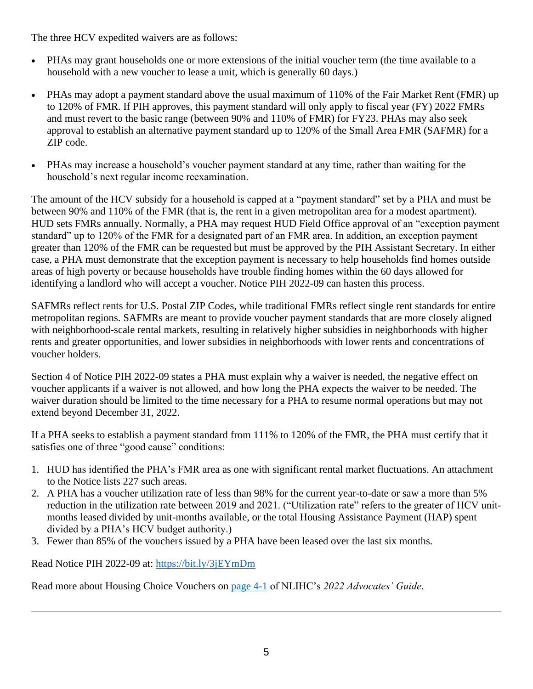The three HCV expedited waivers are as follows:

- PHAs may grant households one or more extensions of the initial voucher term (the time available to a household with a new voucher to lease a unit, which is generally 60 days.)
- PHAs may adopt a payment standard above the usual maximum of 110% of the Fair Market Rent (FMR) up to 120% of FMR. If PIH approves, this payment standard will only apply to fiscal year (FY) 2022 FMRs and must revert to the basic range (between 90% and 110% of FMR) for FY23. PHAs may also seek approval to establish an alternative payment standard up to 120% of the Small Area FMR (SAFMR) for a ZIP code.
- PHAs may increase a household's voucher payment standard at any time, rather than waiting for the household's next regular income reexamination.

The amount of the HCV subsidy for a household is capped at a "payment standard" set by a PHA and must be between 90% and 110% of the FMR (that is, the rent in a given metropolitan area for a modest apartment). HUD sets FMRs annually. Normally, a PHA may request HUD Field Office approval of an "exception payment standard" up to 120% of the FMR for a designated part of an FMR area. In addition, an exception payment greater than 120% of the FMR can be requested but must be approved by the PIH Assistant Secretary. In either case, a PHA must demonstrate that the exception payment is necessary to help households find homes outside areas of high poverty or because households have trouble finding homes within the 60 days allowed for identifying a landlord who will accept a voucher. Notice PIH 2022-09 can hasten this process.

SAFMRs reflect rents for U.S. Postal ZIP Codes, while traditional FMRs reflect single rent standards for entire metropolitan regions. SAFMRs are meant to provide voucher payment standards that are more closely aligned with neighborhood-scale rental markets, resulting in relatively higher subsidies in neighborhoods with higher rents and greater opportunities, and lower subsidies in neighborhoods with lower rents and concentrations of voucher holders.

Section 4 of Notice PIH 2022-09 states a PHA must explain why a waiver is needed, the negative effect on voucher applicants if a waiver is not allowed, and how long the PHA expects the waiver to be needed. The waiver duration should be limited to the time necessary for a PHA to resume normal operations but may not extend beyond December 31, 2022.

If a PHA seeks to establish a payment standard from 111% to 120% of the FMR, the PHA must certify that it satisfies one of three "good cause" conditions:

- 1. HUD has identified the PHA's FMR area as one with significant rental market fluctuations. An attachment to the Notice lists 227 such areas.
- 2. A PHA has a voucher utilization rate of less than 98% for the current year-to-date or saw a more than 5% reduction in the utilization rate between 2019 and 2021. ("Utilization rate" refers to the greater of HCV unitmonths leased divided by unit-months available, or the total Housing Assistance Payment (HAP) spent divided by a PHA's HCV budget authority.)
- 3. Fewer than 85% of the vouchers issued by a PHA have been leased over the last six months.

Read Notice PIH 2022-09 at:<https://bit.ly/3jEYmDm>

Read more about Housing Choice Vouchers on [page 4-1](https://nlihc.org/sites/default/files/2022-03/2022AG_4-01_Housing-Choice-Vouchers.pdf) of NLIHC's *2022 Advocates' Guide*.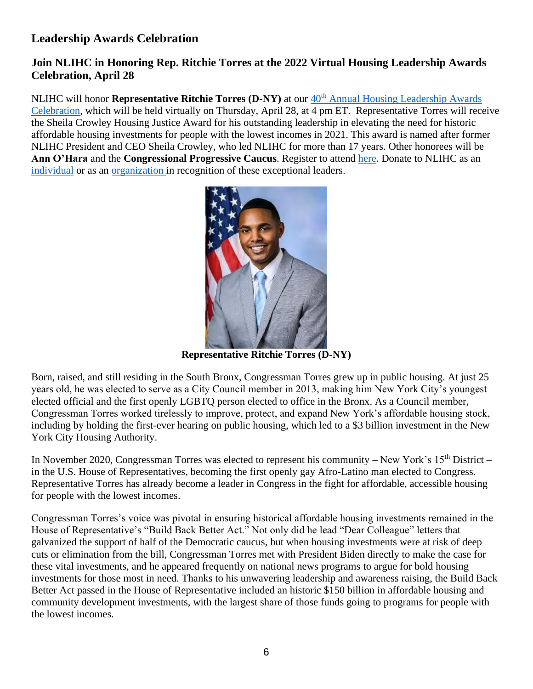## **Leadership Awards Celebration**

### **Join NLIHC in Honoring Rep. Ritchie Torres at the 2022 Virtual Housing Leadership Awards Celebration, April 28**

NLIHC will honor **Representative Ritchie Torres (D-NY)** at our 40<sup>th</sup> Annual Housing Leadership Awards [Celebration,](https://bit.ly/LEADERS22) which will be held virtually on Thursday, April 28, at  $\overline{4 \text{ pm ET}}$ . Representative Torres will receive the Sheila Crowley Housing Justice Award for his outstanding leadership in elevating the need for historic affordable housing investments for people with the lowest incomes in 2021. This award is named after former NLIHC President and CEO Sheila Crowley, who led NLIHC for more than 17 years. Other honorees will be **Ann O'Hara** and the **Congressional Progressive Caucus**. Register to attend [here.](https://bit.ly/LEADERS22) Donate to NLIHC as an [individual](https://bit.ly/LEADERS22) or as an [organization](https://bit.ly/LEADERS22) in recognition of these exceptional leaders.



**Representative Ritchie Torres (D-NY)**

Born, raised, and still residing in the South Bronx, Congressman Torres grew up in public housing. At just 25 years old, he was elected to serve as a City Council member in 2013, making him New York City's youngest elected official and the first openly LGBTQ person elected to office in the Bronx. As a Council member, Congressman Torres worked tirelessly to improve, protect, and expand New York's affordable housing stock, including by holding the first-ever hearing on public housing, which led to a \$3 billion investment in the New York City Housing Authority.

In November 2020, Congressman Torres was elected to represent his community – New York's  $15<sup>th</sup>$  District – in the U.S. House of Representatives, becoming the first openly gay Afro-Latino man elected to Congress. Representative Torres has already become a leader in Congress in the fight for affordable, accessible housing for people with the lowest incomes.

Congressman Torres's voice was pivotal in ensuring historical affordable housing investments remained in the House of Representative's "Build Back Better Act." Not only did he lead "Dear Colleague" letters that galvanized the support of half of the Democratic caucus, but when housing investments were at risk of deep cuts or elimination from the bill, Congressman Torres met with President Biden directly to make the case for these vital investments, and he appeared frequently on national news programs to argue for bold housing investments for those most in need. Thanks to his unwavering leadership and awareness raising, the Build Back Better Act passed in the House of Representative included an historic \$150 billion in affordable housing and community development investments, with the largest share of those funds going to programs for people with the lowest incomes.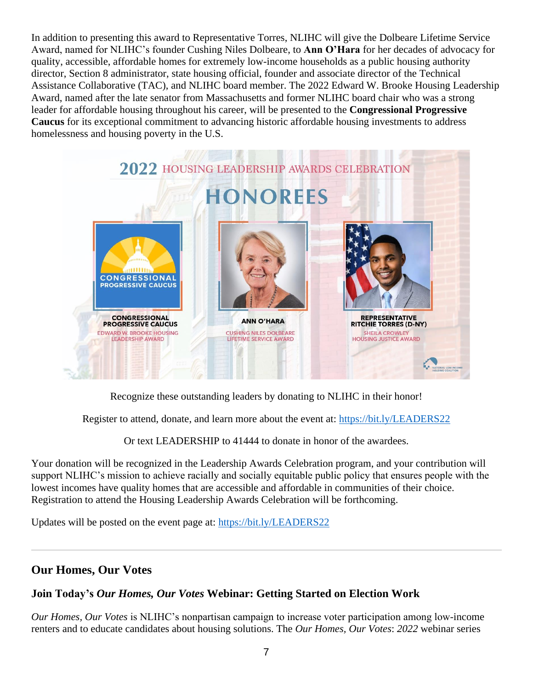In addition to presenting this award to Representative Torres, NLIHC will give the Dolbeare Lifetime Service Award, named for NLIHC's founder Cushing Niles Dolbeare, to **Ann O'Hara** for her decades of advocacy for quality, accessible, affordable homes for extremely low-income households as a public housing authority director, Section 8 administrator, state housing official, founder and associate director of the Technical Assistance Collaborative (TAC), and NLIHC board member. The 2022 Edward W. Brooke Housing Leadership Award, named after the late senator from Massachusetts and former NLIHC board chair who was a strong leader for affordable housing throughout his career, will be presented to the **Congressional Progressive Caucus** for its exceptional commitment to advancing historic affordable housing investments to address homelessness and housing poverty in the U.S.



Recognize these outstanding leaders by donating to NLIHC in their honor!

Register to attend, donate, and learn more about the event at:<https://bit.ly/LEADERS22>

Or text LEADERSHIP to 41444 to donate in honor of the awardees.

Your donation will be recognized in the Leadership Awards Celebration program, and your contribution will support NLIHC's mission to achieve racially and socially equitable public policy that ensures people with the lowest incomes have quality homes that are accessible and affordable in communities of their choice. Registration to attend the Housing Leadership Awards Celebration will be forthcoming.

Updates will be posted on the event page at:<https://bit.ly/LEADERS22>

# **Our Homes, Our Votes**

## **Join Today's** *Our Homes, Our Votes* **Webinar: Getting Started on Election Work**

*Our Homes, Our Votes* is NLIHC's nonpartisan campaign to increase voter participation among low-income renters and to educate candidates about housing solutions. The *Our Homes, Our Votes*: *2022* webinar series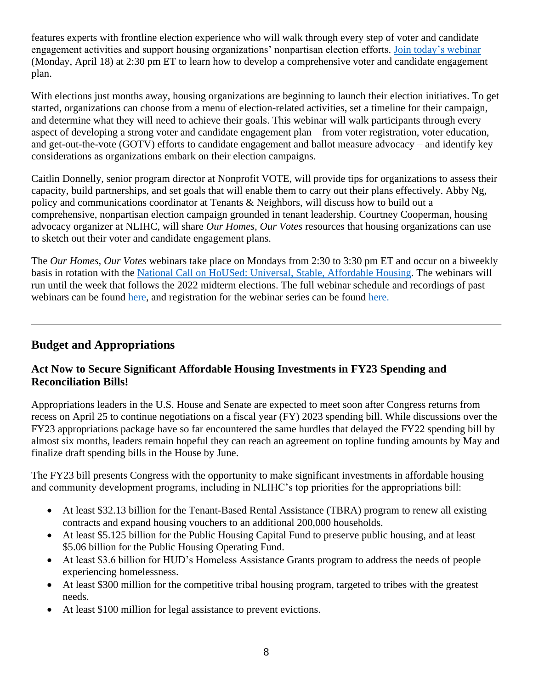features experts with frontline election experience who will walk through every step of voter and candidate engagement activities and support housing organizations' nonpartisan election efforts. [Join today'](https://us02web.zoom.us/webinar/register/WN_GvAr3T_pSZGRNqcvU7YMyg)s webinar (Monday, April 18) at 2:30 pm ET to learn how to develop a comprehensive voter and candidate engagement plan.

With elections just months away, housing organizations are beginning to launch their election initiatives. To get started, organizations can choose from a menu of election-related activities, set a timeline for their campaign, and determine what they will need to achieve their goals. This webinar will walk participants through every aspect of developing a strong voter and candidate engagement plan – from voter registration, voter education, and get-out-the-vote (GOTV) efforts to candidate engagement and ballot measure advocacy – and identify key considerations as organizations embark on their election campaigns.

Caitlin Donnelly, senior program director at Nonprofit VOTE, will provide tips for organizations to assess their capacity, build partnerships, and set goals that will enable them to carry out their plans effectively. Abby Ng, policy and communications coordinator at Tenants & Neighbors, will discuss how to build out a comprehensive, nonpartisan election campaign grounded in tenant leadership. Courtney Cooperman, housing advocacy organizer at NLIHC, will share *Our Homes, Our Votes* resources that housing organizations can use to sketch out their voter and candidate engagement plans.

The *Our Homes, Our Votes* webinars take place on Mondays from 2:30 to 3:30 pm ET and occur on a biweekly basis in rotation with the [National Call on HoUSed: Universal, Stable, Affordable Housing.](https://nlihc.org/covid-19-working-groupcalls) The webinars will run until the week that follows the 2022 midterm elections. The full webinar schedule and recordings of past webinars can be found [here,](https://www.ourhomes-ourvotes.org/webinars) and registration for the webinar series can be found [here.](https://us02web.zoom.us/webinar/register/WN_GvAr3T_pSZGRNqcvU7YMyg)

## **Budget and Appropriations**

### **Act Now to Secure Significant Affordable Housing Investments in FY23 Spending and Reconciliation Bills!**

Appropriations leaders in the U.S. House and Senate are expected to meet soon after Congress returns from recess on April 25 to continue negotiations on a fiscal year (FY) 2023 spending bill. While discussions over the FY23 appropriations package have so far encountered the same hurdles that delayed the FY22 spending bill by almost six months, leaders remain hopeful they can reach an agreement on topline funding amounts by May and finalize draft spending bills in the House by June.

The FY23 bill presents Congress with the opportunity to make significant investments in affordable housing and community development programs, including in NLIHC's top priorities for the appropriations bill:

- At least \$32.13 billion for the Tenant-Based Rental Assistance (TBRA) program to renew all existing contracts and expand housing vouchers to an additional 200,000 households.
- At least \$5.125 billion for the Public Housing Capital Fund to preserve public housing, and at least \$5.06 billion for the Public Housing Operating Fund.
- At least \$3.6 billion for HUD's Homeless Assistance Grants program to address the needs of people experiencing homelessness.
- At least \$300 million for the competitive tribal housing program, targeted to tribes with the greatest needs.
- At least \$100 million for legal assistance to prevent evictions.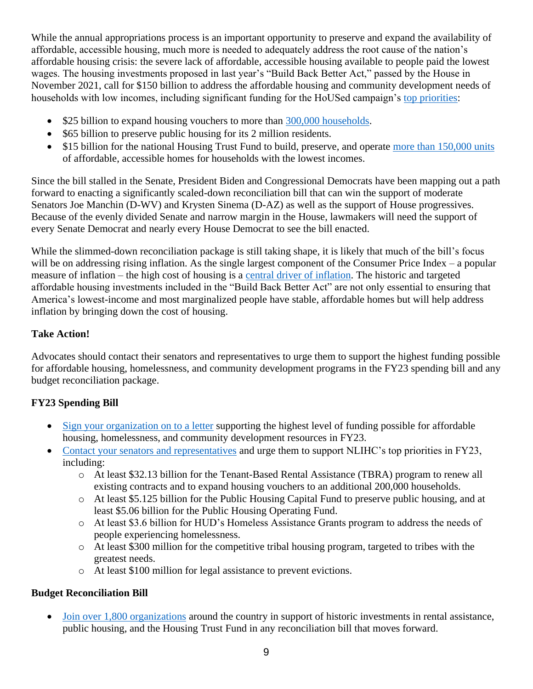While the annual appropriations process is an important opportunity to preserve and expand the availability of affordable, accessible housing, much more is needed to adequately address the root cause of the nation's affordable housing crisis: the severe lack of affordable, accessible housing available to people paid the lowest wages. The housing investments proposed in last year's "Build Back Better Act," passed by the House in November 2021, call for \$150 billion to address the affordable housing and community development needs of households with low incomes, including significant funding for the HoUSed campaign's [top priorities:](https://nlihc.org/sites/default/files/Historic-Housing-Investments-in-the-Build-Back-Better-Act.pdf)

- \$25 billion to expand housing vouchers to more than [300,000 households.](https://www.cbpp.org/blog/bbb-includes-major-investments-in-housing-affordability?utm_source=NLIHC+All+Subscribers&utm_campaign=8a6570fcb2-cta_Housed_01252022&utm_medium=email&utm_term=0_e090383b5e-8a6570fcb2-293290537&ct=t(cta_Housed_01252022))
- \$65 billion to preserve public housing for its 2 million residents.
- \$15 billion for the national Housing Trust Fund to build, preserve, and operate [more than 150,000 units](https://nlihc.org/sites/default/files/housed_NHTF_allocations-15B.pdf?utm_source=NLIHC+All+Subscribers&utm_campaign=ed4a18dffa-CTA_housed_120221&utm_medium=email&utm_term=0_e090383b5e-ed4a18dffa-293290537&ct=t(CTA_housed_120221)) of affordable, accessible homes for households with the lowest incomes.

Since the bill stalled in the Senate, President Biden and Congressional Democrats have been mapping out a path forward to enacting a significantly scaled-down reconciliation bill that can win the support of moderate Senators Joe Manchin (D-WV) and Krysten Sinema (D-AZ) as well as the support of House progressives. Because of the evenly divided Senate and narrow margin in the House, lawmakers will need the support of every Senate Democrat and nearly every House Democrat to see the bill enacted.

While the slimmed-down reconciliation package is still taking shape, it is likely that much of the bill's focus will be on addressing rising inflation. As the single largest component of the Consumer Price Index – a popular measure of inflation – the high cost of housing is a [central driver of inflation.](https://nlihc.org/sites/default/files/HoUSed_Targeting-Housing-Investments.pdf) The historic and targeted affordable housing investments included in the "Build Back Better Act" are not only essential to ensuring that America's lowest-income and most marginalized people have stable, affordable homes but will help address inflation by bringing down the cost of housing.

#### **Take Action!**

Advocates should contact their senators and representatives to urge them to support the highest funding possible for affordable housing, homelessness, and community development programs in the FY23 spending bill and any budget reconciliation package.

### **FY23 Spending Bill**

- [Sign your organization on to a letter](https://nlihc.secure.force.com/actions/CapturePetitionNew?actionId=AR00956) supporting the highest level of funding possible for affordable housing, homelessness, and community development resources in FY23.
- [Contact your senators and representatives](https://nlihc.secure.force.com/actions/TakeActionNew?actionId=AR00955) and urge them to support NLIHC's top priorities in FY23, including:
	- o At least \$32.13 billion for the Tenant-Based Rental Assistance (TBRA) program to renew all existing contracts and to expand housing vouchers to an additional 200,000 households.
	- o At least \$5.125 billion for the Public Housing Capital Fund to preserve public housing, and at least \$5.06 billion for the Public Housing Operating Fund.
	- o At least \$3.6 billion for HUD's Homeless Assistance Grants program to address the needs of people experiencing homelessness.
	- o At least \$300 million for the competitive tribal housing program, targeted to tribes with the greatest needs.
	- o At least \$100 million for legal assistance to prevent evictions.

#### **Budget Reconciliation Bill**

• [Join over 1,800 organizations](https://nlihc.secure.force.com/actions/CapturePetitionNew?actionId=AR00938) around the country in support of historic investments in rental assistance, public housing, and the Housing Trust Fund in any reconciliation bill that moves forward.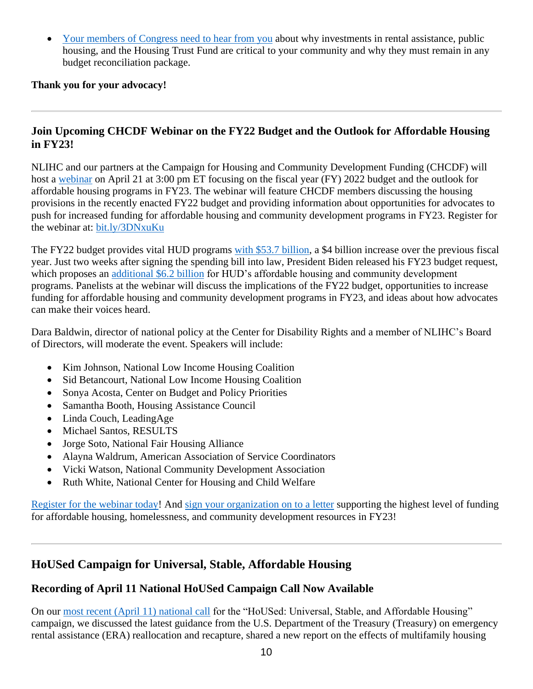• [Your members of Congress need to hear from you](https://nlihc.secure.force.com/actions/TakeActionNew?actionId=AR00943) about why investments in rental assistance, public housing, and the Housing Trust Fund are critical to your community and why they must remain in any budget reconciliation package.

#### **Thank you for your advocacy!**

### **Join Upcoming CHCDF Webinar on the FY22 Budget and the Outlook for Affordable Housing in FY23!**

NLIHC and our partners at the Campaign for Housing and Community Development Funding (CHCDF) will host a [webinar](https://us02web.zoom.us/webinar/register/WN_z1r3D_keROO1SmdorXTBzQ) on April 21 at 3:00 pm ET focusing on the fiscal year (FY) 2022 budget and the outlook for affordable housing programs in FY23. The webinar will feature CHCDF members discussing the housing provisions in the recently enacted FY22 budget and providing information about opportunities for advocates to push for increased funding for affordable housing and community development programs in FY23. Register for the webinar at: [bit.ly/3DNxuKu](https://us02web.zoom.us/webinar/register/WN_z1r3D_keROO1SmdorXTBzQ)

The FY22 budget provides vital HUD programs [with \\$53.7 billion,](https://nlihc.org/resource/advocates-and-key-members-congress-secure-increased-funding-housing-final-fy22-spending?utm_source=NLIHC+All+Subscribers&utm_campaign=44fb39ba3b-Budget_030922&utm_medium=email&utm_term=0_e090383b5e-44fb39ba3b-292697541&ct=t(Budget_030922)) a \$4 billion increase over the previous fiscal year. Just two weeks after signing the spending bill into law, President Biden released his FY23 budget request, which proposes an [additional \\$6.2 billion](https://nlihc.org/resource/analysis-president-bidens-fy-2023-budget-request) for HUD's affordable housing and community development programs. Panelists at the webinar will discuss the implications of the FY22 budget, opportunities to increase funding for affordable housing and community development programs in FY23, and ideas about how advocates can make their voices heard.

Dara Baldwin, director of national policy at the Center for Disability Rights and a member of NLIHC's Board of Directors, will moderate the event. Speakers will include:

- Kim Johnson, National Low Income Housing Coalition
- Sid Betancourt, National Low Income Housing Coalition
- Sonya Acosta, Center on Budget and Policy Priorities
- Samantha Booth, Housing Assistance Council
- Linda Couch, LeadingAge
- Michael Santos, RESULTS
- Jorge Soto, National Fair Housing Alliance
- Alayna Waldrum, American Association of Service Coordinators
- Vicki Watson, National Community Development Association
- Ruth White, National Center for Housing and Child Welfare

[Register for the webinar today!](https://us02web.zoom.us/webinar/register/WN_z1r3D_keROO1SmdorXTBzQ) And [sign your organization on to a letter](https://nlihc.secure.force.com/actions/CapturePetitionNew?actionId=AR00956) supporting the highest level of funding for affordable housing, homelessness, and community development resources in FY23!

## **HoUSed Campaign for Universal, Stable, Affordable Housing**

### **Recording of April 11 National HoUSed Campaign Call Now Available**

On our [most recent \(April 11\) national call](https://www.youtube.com/watch?v=yA3qHrmyjMA&t=354s) for the "HoUSed: Universal, Stable, and Affordable Housing" campaign, we discussed the latest guidance from the U.S. Department of the Treasury (Treasury) on emergency rental assistance (ERA) reallocation and recapture, shared a new report on the effects of multifamily housing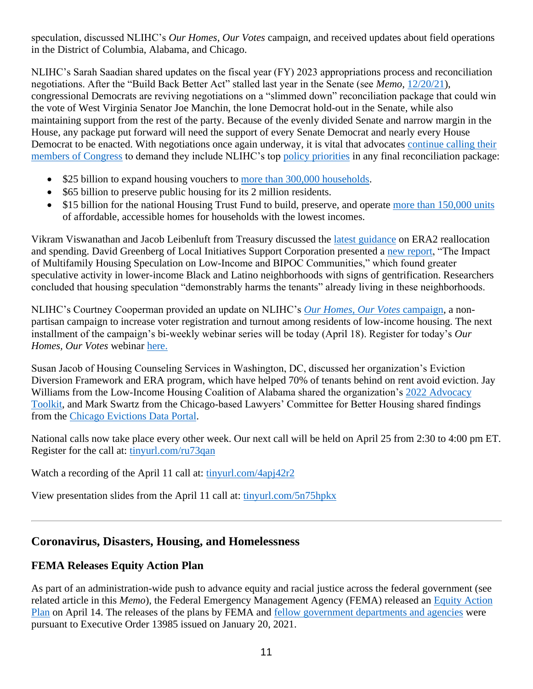speculation, discussed NLIHC's *Our Homes, Our Votes* campaign, and received updates about field operations in the District of Columbia, Alabama, and Chicago.

NLIHC's Sarah Saadian shared updates on the fiscal year (FY) 2023 appropriations process and reconciliation negotiations. After the "Build Back Better Act" stalled last year in the Senate (see *Memo,* [12/20/21\)](https://nlihc.org/resource/senator-manchin-thwarts-build-back-better-act-take-action), congressional Democrats are reviving negotiations on a "slimmed down" reconciliation package that could win the vote of West Virginia Senator Joe Manchin, the lone Democrat hold-out in the Senate, while also maintaining support from the rest of the party. Because of the evenly divided Senate and narrow margin in the House, any package put forward will need the support of every Senate Democrat and nearly every House Democrat to be enacted. With negotiations once again underway, it is vital that advocates continue calling their [members of Congress](https://nlihc.secure.force.com/actions/TakeActionNew?actionId=AR00943) to demand they include NLIHC's top [policy priorities](https://nlihc.org/sites/default/files/Historic-Housing-Investments-in-the-Build-Back-Better-Act.pdf) in any final reconciliation package:

- \$25 billion to expand housing vouchers to [more than 300,000 households.](https://www.cbpp.org/blog/bbb-includes-major-investments-in-housing-affordability?utm_source=NLIHC+All+Subscribers&utm_campaign=8a6570fcb2-cta_Housed_01252022&utm_medium=email&utm_term=0_e090383b5e-8a6570fcb2-293290537&ct=t(cta_Housed_01252022))
- \$65 billion to preserve public housing for its 2 million residents.
- \$15 billion for the national Housing Trust Fund to build, preserve, and operate [more than 150,000 units](https://nlihc.org/sites/default/files/housed_NHTF_allocations-15B.pdf?utm_source=NLIHC+All+Subscribers&utm_campaign=ed4a18dffa-CTA_housed_120221&utm_medium=email&utm_term=0_e090383b5e-ed4a18dffa-293290537&ct=t(CTA_housed_120221)) of affordable, accessible homes for households with the lowest incomes.

Vikram Viswanathan and Jacob Leibenluft from Treasury discussed the *latest guidance* on ERA2 reallocation and spending. David Greenberg of Local Initiatives Support Corporation presented a [new report,](https://www.lisc.org/our-resources/resource/gambling-homes-or-investing-communities/) "The Impact of Multifamily Housing Speculation on Low-Income and BIPOC Communities," which found greater speculative activity in lower-income Black and Latino neighborhoods with signs of gentrification. Researchers concluded that housing speculation "demonstrably harms the tenants" already living in these neighborhoods.

NLIHC's Courtney Cooperman provided an update on NLIHC's *[Our Homes, Our Votes](https://www.ourhomes-ourvotes.org/)* campaign, a nonpartisan campaign to increase voter registration and turnout among residents of low-income housing. The next installment of the campaign's bi-weekly webinar series will be today (April 18). Register for today's *Our Homes, Our Votes* webinar [here.](https://us02web.zoom.us/webinar/register/WN_GvAr3T_pSZGRNqcvU7YMyg)

Susan Jacob of Housing Counseling Services in Washington, DC, discussed her organization's Eviction Diversion Framework and ERA program, which have helped 70% of tenants behind on rent avoid eviction. Jay Williams from the Low-Income Housing Coalition of Alabama shared the organization's [2022 Advocacy](https://lihca.org/#139d6ffc-bc59-437a-91fa-5a97f619f96d)  [Toolkit,](https://lihca.org/#139d6ffc-bc59-437a-91fa-5a97f619f96d) and Mark Swartz from the Chicago-based Lawyers' Committee for Better Housing shared findings from the [Chicago Evictions Data Portal.](https://eviction.lcbh.org/data)

National calls now take place every other week. Our next call will be held on April 25 from 2:30 to 4:00 pm ET. Register for the call at: [tinyurl.com/ru73qan](https://nam04.safelinks.protection.outlook.com/?url=https%3A%2F%2Fnlihc.us4.list-manage.com%2Ftrack%2Fclick%3Fu%3De702259618becdc3f0451bd5d%26id%3D45d8040255%26e%3Dea65f33f49&data=04%7C01%7C%7Cd30a5e8f39ea4b5d541708da1cb73ad8%7Cd9ab7747cd104372b0b3229c61592adf%7C0%7C0%7C637853870555321192%7CUnknown%7CTWFpbGZsb3d8eyJWIjoiMC4wLjAwMDAiLCJQIjoiV2luMzIiLCJBTiI6Ik1haWwiLCJXVCI6Mn0%3D%7C3000&sdata=OA42QFNQ5Y4DzW1xOE0eDe3ZcshURg%2B%2B5w0xZz6saLw%3D&reserved=0)

Watch a recording of the April 11 call at: [tinyurl.com/4apj42r2](https://www.youtube.com/watch?v=yA3qHrmyjMA)

View presentation slides from the April 11 call at: [tinyurl.com/5n75hpkx](https://nlihc.org/sites/default/files/COVID-19_National_hoUSed_Call_041122.pdf?utm_source=NLIHC+All+Subscribers&utm_campaign=780c91f38d-natl-call_summary_04-11-2022&utm_medium=email&utm_term=0_e090383b5e-780c91f38d-291742445&ct=t(natl-call_summary_04-11-2022))

## **Coronavirus, Disasters, Housing, and Homelessness**

### **FEMA Releases Equity Action Plan**

As part of an administration-wide push to advance equity and racial justice across the federal government (see related article in this *Memo*), the Federal Emergency Management Agency (FEMA) released an [Equity Action](https://www.whitehouse.gov/wp-content/uploads/2022/04/FEMA-EO13985-equity-summary.pdf)  [Plan](https://www.whitehouse.gov/wp-content/uploads/2022/04/FEMA-EO13985-equity-summary.pdf) on April 14. The releases of the plans by FEMA and fellow government [departments and agencies](http://www.whitehouse.gov/equity) were pursuant to Executive Order 13985 issued on January 20, 2021.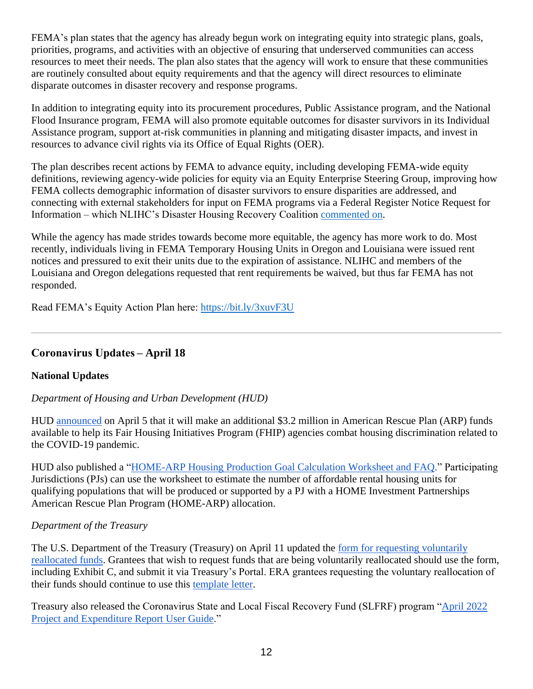FEMA's plan states that the agency has already begun work on integrating equity into strategic plans, goals, priorities, programs, and activities with an objective of ensuring that underserved communities can access resources to meet their needs. The plan also states that the agency will work to ensure that these communities are routinely consulted about equity requirements and that the agency will direct resources to eliminate disparate outcomes in disaster recovery and response programs.

In addition to integrating equity into its procurement procedures, Public Assistance program, and the National Flood Insurance program, FEMA will also promote equitable outcomes for disaster survivors in its Individual Assistance program, support at-risk communities in planning and mitigating disaster impacts, and invest in resources to advance civil rights via its Office of Equal Rights (OER).

The plan describes recent actions by FEMA to advance equity, including developing FEMA-wide equity definitions, reviewing agency-wide policies for equity via an Equity Enterprise Steering Group, improving how FEMA collects demographic information of disaster survivors to ensure disparities are addressed, and connecting with external stakeholders for input on FEMA programs via a Federal Register Notice Request for Information – which NLIHC's Disaster Housing Recovery Coalition [commented on.](https://nlihc.org/resource/nlihc-responds-fema-request-information-diversity-and-inclusion-recommends-numerous)

While the agency has made strides towards become more equitable, the agency has more work to do. Most recently, individuals living in FEMA Temporary Housing Units in Oregon and Louisiana were issued rent notices and pressured to exit their units due to the expiration of assistance. NLIHC and members of the Louisiana and Oregon delegations requested that rent requirements be waived, but thus far FEMA has not responded.

Read FEMA's Equity Action Plan here:<https://bit.ly/3xuvF3U>

## **Coronavirus Updates – April 18**

### **National Updates**

### *Department of Housing and Urban Development (HUD)*

HUD [announced](https://www.hud.gov/press/press_releases_media_advisories/HUD_No_22_060) on April 5 that it will make an additional \$3.2 million in American Rescue Plan (ARP) funds available to help its Fair Housing Initiatives Program (FHIP) agencies combat housing discrimination related to the COVID-19 pandemic.

HUD also published a ["HOME-ARP Housing Production Goal Calculation Worksheet and FAQ.](https://www.hudexchange.info/resource/6605/homearp-housing-production-goal-calculation-worksheet-and-faq/)" Participating Jurisdictions (PJs) can use the worksheet to estimate the number of affordable rental housing units for qualifying populations that will be produced or supported by a PJ with a HOME Investment Partnerships American Rescue Plan Program (HOME-ARP) allocation.

### *Department of the Treasury*

The U.S. Department of the Treasury (Treasury) on April 11 updated the [form for requesting voluntarily](https://home.treasury.gov/system/files/136/1505-0266-Request-Voluntarily-Reallocated-Funds.pdf)  [reallocated funds.](https://home.treasury.gov/system/files/136/1505-0266-Request-Voluntarily-Reallocated-Funds.pdf) Grantees that wish to request funds that are being voluntarily reallocated should use the form, including Exhibit C, and submit it via Treasury's Portal. ERA grantees requesting the voluntary reallocation of their funds should continue to use this [template letter.](https://home.treasury.gov/system/files/136/era-voluntary-reallocation-request-letter.pdf)

Treasury also released the Coronavirus State and Local Fiscal Recovery Fund (SLFRF) program ["April 2022](https://home.treasury.gov/system/files/136/April-2022-PE-Report-User-Guide.pdf)  [Project and Expenditure Report User Guide.](https://home.treasury.gov/system/files/136/April-2022-PE-Report-User-Guide.pdf)"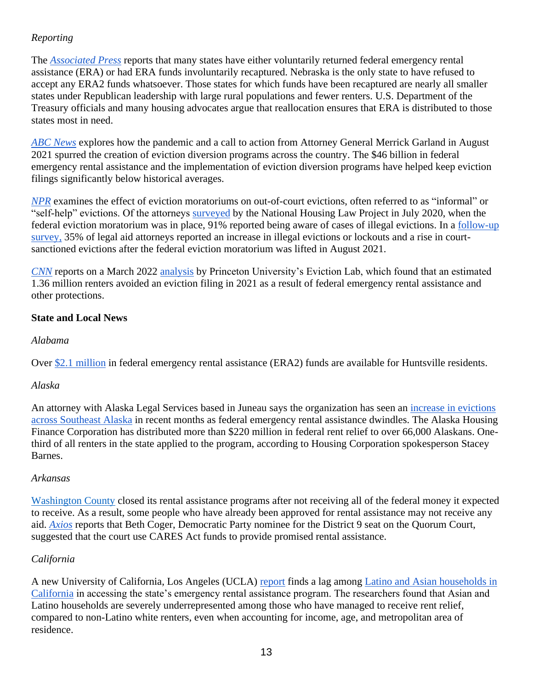### *Reporting*

The *[Associated Press](https://apnews.com/article/covid-business-health-pete-ricketts-nebraska-efa68f756f23d1326e178c0153529c86)* reports that many states have either voluntarily returned federal emergency rental assistance (ERA) or had ERA funds involuntarily recaptured. Nebraska is the only state to have refused to accept any ERA2 funds whatsoever. Those states for which funds have been recaptured are nearly all smaller states under Republican leadership with large rural populations and fewer renters. U.S. Department of the Treasury officials and many housing advocates argue that reallocation ensures that ERA is distributed to those states most in need.

*[ABC News](https://abcnews.go.com/Politics/eviction-prevention-program-emerged-moratorium-ended/story?id=83922544)* explores how the pandemic and a call to action from Attorney General Merrick Garland in August 2021 spurred the creation of eviction diversion programs across the country. The \$46 billion in federal emergency rental assistance and the implementation of eviction diversion programs have helped keep eviction filings significantly below historical averages.

*[NPR](https://www.npr.org/2022/04/06/1090501255/ny-landlords-cant-evict-while-tenants-wait-for-aid-some-try-other-ways-to-clear-)* examines the effect of eviction moratoriums on out-of-court evictions, often referred to as "informal" or "self-help" evictions. Of the attorneys [surveyed](https://www.nhlp.org/wp-content/uploads/Evictions-Survey-Results-2020.pdf) by the National Housing Law Project in July 2020, when the federal eviction moratorium was in place, 91% reported being aware of cases of illegal evictions. In a [follow-up](https://www.nhlp.org/wp-content/uploads/NHLP-evictions-survey-2021.pdf)  [survey,](https://www.nhlp.org/wp-content/uploads/NHLP-evictions-survey-2021.pdf) 35% of legal aid attorneys reported an increase in illegal evictions or lockouts and a rise in courtsanctioned evictions after the federal eviction moratorium was lifted in August 2021.

*[CNN](https://www.cnn.com/2022/03/31/homes/us-rent-relief-march-2022/index.html)* reports on a March 2022 [analysis](https://evictionlab.org/us-eviction-filing-patterns-2021/) by Princeton University's Eviction Lab, which found that an estimated 1.36 million renters avoided an eviction filing in 2021 as a result of federal emergency rental assistance and other protections.

#### **State and Local News**

#### *Alabama*

Over [\\$2.1 million](https://www.waff.com/2022/04/05/over-2-million-available-rental-assistance-huntsville-residents/) in federal emergency rental assistance (ERA2) funds are available for Huntsville residents.

#### *Alaska*

An attorney with Alaska Legal Services based in Juneau says the organization has seen an [increase in evictions](https://www.alaskapublic.org/2022/04/06/alaska-renters-face-uncertainty-as-federal-pandemic-rental-assistance-nears-end/)  [across Southeast Alaska](https://www.alaskapublic.org/2022/04/06/alaska-renters-face-uncertainty-as-federal-pandemic-rental-assistance-nears-end/) in recent months as federal emergency rental assistance dwindles. The Alaska Housing Finance Corporation has distributed more than \$220 million in federal rent relief to over 66,000 Alaskans. Onethird of all renters in the state applied to the program, according to Housing Corporation spokesperson Stacey Barnes.

#### *Arkansas*

[Washington County](https://www.nwaonline.com/news/2022/apr/05/washington-county-ends-rental-assistance-program/) closed its rental assistance programs after not receiving all of the federal money it expected to receive. As a result, some people who have already been approved for rental assistance may not receive any aid. *[Axios](https://www.axios.com/local/nw-arkansas/2022/04/06/washington-county-stops-rental-assistance)* reports that Beth Coger, Democratic Party nominee for the District 9 seat on the Quorum Court, suggested that the court use CARES Act funds to provide promised rental assistance.

### *California*

A new University of California, Los Angeles (UCLA) [report](https://knowledge.luskin.ucla.edu/wp-content/uploads/2022/04/Housing_Insecurity_COVID_Report.pdf) finds a lag among [Latino and Asian households in](https://newsroom.ucla.edu/releases/latino-and-asian-households-in-california-lag-in-access-to-state-rent-assistance-program)  [California](https://newsroom.ucla.edu/releases/latino-and-asian-households-in-california-lag-in-access-to-state-rent-assistance-program) in accessing the state's emergency rental assistance program. The researchers found that Asian and Latino households are severely underrepresented among those who have managed to receive rent relief, compared to non-Latino white renters, even when accounting for income, age, and metropolitan area of residence.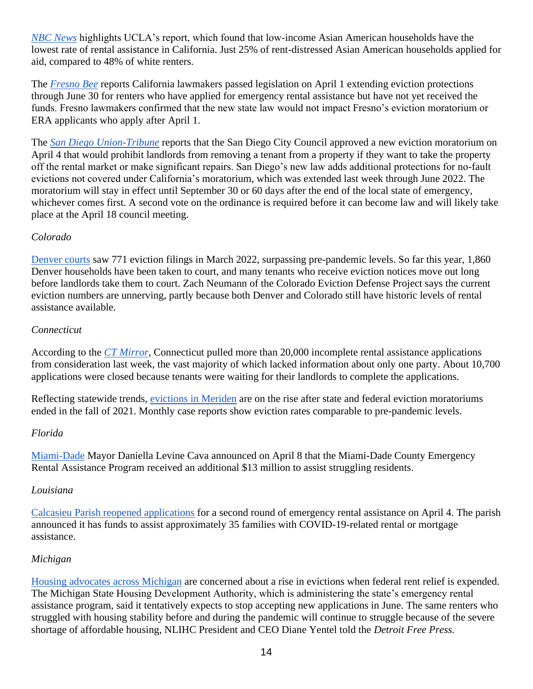*[NBC News](https://www.nbcnews.com/news/asian-america/low-income-asian-american-households-lowest-rate-rental-assistance-cal-rcna23476)* highlights UCLA's report, which found that low-income Asian American households have the lowest rate of rental assistance in California. Just 25% of rent-distressed Asian American households applied for aid, compared to 48% of white renters.

The *[Fresno Bee](https://www.fresnobee.com/fresnoland/article259998295.html)* reports California lawmakers passed legislation on April 1 extending eviction protections through June 30 for renters who have applied for emergency rental assistance but have not yet received the funds. Fresno lawmakers confirmed that the new state law would not impact Fresno's eviction moratorium or ERA applicants who apply after April 1.

The *[San Diego Union-Tribune](https://www.sandiegouniontribune.com/business/story/2022-04-04/san-diego-approves-new-eviction-moratorium-heres-how-it-goes-beyond-state-law)* reports that the San Diego City Council approved a new eviction moratorium on April 4 that would prohibit landlords from removing a tenant from a property if they want to take the property off the rental market or make significant repairs. San Diego's new law adds additional protections for no-fault evictions not covered under California's moratorium, which was extended last week through June 2022. The moratorium will stay in effect until September 30 or 60 days after the end of the local state of emergency, whichever comes first. A second vote on the ordinance is required before it can become law and will likely take place at the April 18 council meeting.

#### *Colorado*

[Denver courts](https://denverite.com/2022/04/05/denver-courts-saw-771-eviction-filings-in-march-surpassing-pre-pandemic-levels/) saw 771 eviction filings in March 2022, surpassing pre-pandemic levels. So far this year, 1,860 Denver households have been taken to court, and many tenants who receive eviction notices move out long before landlords take them to court. Zach Neumann of the Colorado Eviction Defense Project says the current eviction numbers are unnerving, partly because both Denver and Colorado still have historic levels of rental assistance available.

#### *Connecticut*

According to the *[CT Mirror](https://ctmirror.org/2022/04/06/ct-closes-more-than-20000-unfinished-rent-assistance-applications/)*, Connecticut pulled more than 20,000 incomplete rental assistance applications from consideration last week, the vast majority of which lacked information about only one party. About 10,700 applications were closed because tenants were waiting for their landlords to complete the applications.

Reflecting statewide trends, [evictions in Meriden](https://www.myrecordjournal.com/News/State/Greater-Meriden-communities-see-rise-in-evictions-after-moratorium-s-lapse.html) are on the rise after state and federal eviction moratoriums ended in the fall of 2021. Monthly case reports show eviction rates comparable to pre-pandemic levels.

#### *Florida*

[Miami-Dade](https://wsvn.com/news/local/miami-dade/miami-dade-mayor-announces-funding-for-emergency-rental-assistance-as-housing-cost-increases-in-south-florida/) Mayor Daniella Levine Cava announced on April 8 that the Miami-Dade County Emergency Rental Assistance Program received an additional \$13 million to assist struggling residents.

#### *Louisiana*

[Calcasieu Parish reopened applications](https://www.kplctv.com/2022/03/31/calcasieu-parish-reopening-covid-19-mortgage-rental-assistance/) for a second round of emergency rental assistance on April 4. The parish announced it has funds to assist approximately 35 families with COVID-19-related rental or mortgage assistance.

#### *Michigan*

[Housing advocates across Michigan](https://www.freep.com/story/news/local/michigan/2022/04/06/michigan-eviction-records-seal-bill/9438578002/) are concerned about a rise in evictions when federal rent relief is expended. The Michigan State Housing Development Authority, which is administering the state's emergency rental assistance program, said it tentatively expects to stop accepting new applications in June. The same renters who struggled with housing stability before and during the pandemic will continue to struggle because of the severe shortage of affordable housing, NLIHC President and CEO Diane Yentel told the *Detroit Free Press.*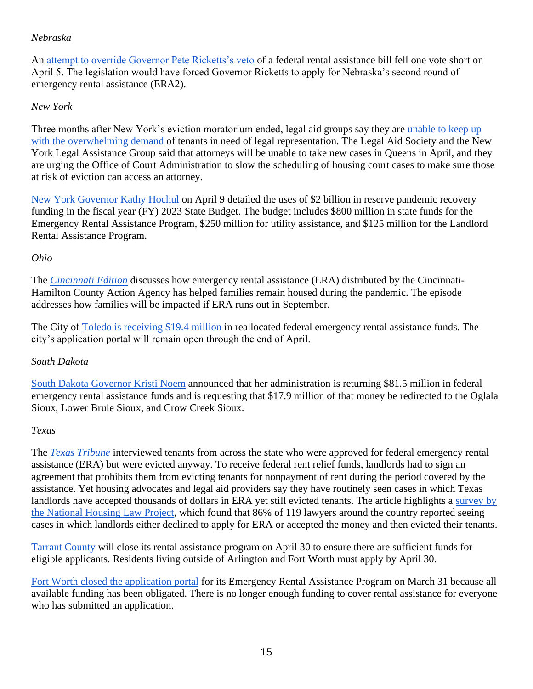#### *Nebraska*

An [attempt to override Governor Pete Ricketts's veto](https://omaha.com/news/state-and-regional/govt-and-politics/veto-override-on-nebraska-rental-assistance-bill-falls-one-vote-short/article_f96dbd1c-b525-11ec-be3f-ab2e744895c0.html) of a federal rental assistance bill fell one vote short on April 5. The legislation would have forced Governor Ricketts to apply for Nebraska's second round of emergency rental assistance (ERA2).

### *New York*

Three months after New York's eviction moratorium ended, legal aid groups say they are unable to keep up [with the overwhelming demand](https://www.politico.com/newsletters/weekly-new-york-real-estate/2022/04/11/surge-in-evictions-could-leave-tenants-without-attorneys-00024342) of tenants in need of legal representation. The Legal Aid Society and the New York Legal Assistance Group said that attorneys will be unable to take new cases in Queens in April, and they are urging the Office of Court Administration to slow the scheduling of housing court cases to make sure those at risk of eviction can access an attorney.

[New York Governor Kathy Hochul](https://www.governor.ny.gov/news/governor-hochul-announces-2-billion-reserve-pandemic-recovery-funding-fy-2023-budget) on April 9 detailed the uses of \$2 billion in reserve pandemic recovery funding in the fiscal year (FY) 2023 State Budget. The budget includes \$800 million in state funds for the Emergency Rental Assistance Program, \$250 million for utility assistance, and \$125 million for the Landlord Rental Assistance Program.

#### *Ohio*

The *[Cincinnati Edition](https://www.wvxu.org/show/cincinnati-edition/2022-04-07/what-it-will-mean-if-emergency-rental-assistance-ends-in-september)* discusses how emergency rental assistance (ERA) distributed by the Cincinnati-Hamilton County Action Agency has helped families remain housed during the pandemic. The episode addresses how families will be impacted if ERA runs out in September.

The City of [Toledo is receiving \\$19.4 million](https://www.13abc.com/2022/03/30/toledo-receives-additional-194-million-rental-assistance/) in reallocated federal emergency rental assistance funds. The city's application portal will remain open through the end of April.

#### *South Dakota*

[South Dakota Governor Kristi Noem](https://apnews.com/article/covid-health-kristi-noem-covid-19-pandemic-south-dakota-e7032b4f2ecadedb73d20c5264df6a31) announced that her administration is returning \$81.5 million in federal emergency rental assistance funds and is requesting that \$17.9 million of that money be redirected to the Oglala Sioux, Lower Brule Sioux, and Crow Creek Sioux.

#### *Texas*

The *[Texas Tribune](https://www.texastribune.org/2022/04/08/texas-landlords-rent-relief-evictions/)* interviewed tenants from across the state who were approved for federal emergency rental assistance (ERA) but were evicted anyway. To receive federal rent relief funds, landlords had to sign an agreement that prohibits them from evicting tenants for nonpayment of rent during the period covered by the assistance. Yet housing advocates and legal aid providers say they have routinely seen cases in which Texas landlords have accepted thousands of dollars in ERA yet still evicted tenants. The article highlights a [survey by](https://www.nhlp.org/wp-content/uploads/NHLP-evictions-survey-2021.pdf)  [the National Housing Law Project,](https://www.nhlp.org/wp-content/uploads/NHLP-evictions-survey-2021.pdf) which found that 86% of 119 lawyers around the country reported seeing cases in which landlords either declined to apply for ERA or accepted the money and then evicted their tenants.

[Tarrant County](https://www.nbcdfw.com/news/local/tarrant-county-to-close-rental-assistance-program-april-30/2933180/) will close its rental assistance program on April 30 to ensure there are sufficient funds for eligible applicants. Residents living outside of Arlington and Fort Worth must apply by April 30.

[Fort Worth closed the application portal](https://www.fortworthtexas.gov/news/2022/4/ERAP-Ending) for its Emergency Rental Assistance Program on March 31 because all available funding has been obligated. There is no longer enough funding to cover rental assistance for everyone who has submitted an application.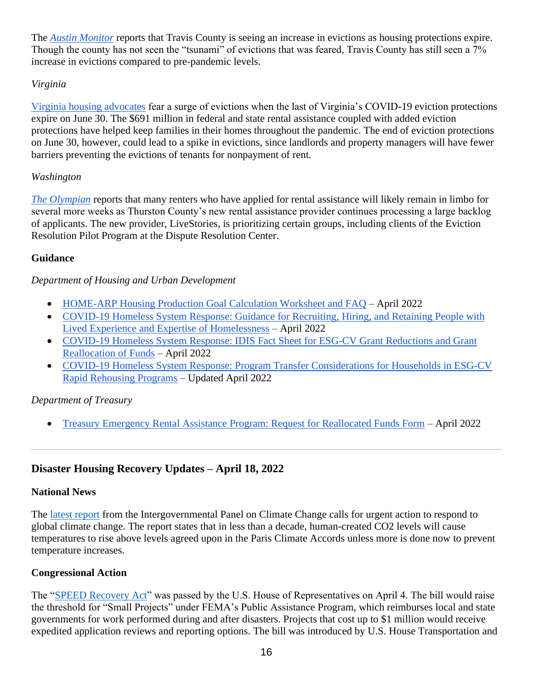The *[Austin Monitor](https://www.austinmonitor.com/stories/2022/04/travis-county-evictions-increase-in-a-wave-not-tsunami/)* reports that Travis County is seeing an increase in evictions as housing protections expire. Though the county has not seen the "tsunami" of evictions that was feared, Travis County has still seen a 7% increase in evictions compared to pre-pandemic levels.

### *Virginia*

[Virginia housing advocates](https://www.nbc12.com/2022/04/06/eviction-tsunami-housing-advocates-fear-eviction-surge-after-va-pandemic-protections-end-june-30/) fear a surge of evictions when the last of Virginia's COVID-19 eviction protections expire on June 30. The \$691 million in federal and state rental assistance coupled with added eviction protections have helped keep families in their homes throughout the pandemic. The end of eviction protections on June 30, however, could lead to a spike in evictions, since landlords and property managers will have fewer barriers preventing the evictions of tenants for nonpayment of rent.

#### *Washington*

*[The Olympian](https://www.theolympian.com/news/local/article260210065.html)* reports that many renters who have applied for rental assistance will likely remain in limbo for several more weeks as Thurston County's new rental assistance provider continues processing a large backlog of applicants. The new provider, LiveStories, is prioritizing certain groups, including clients of the Eviction Resolution Pilot Program at the Dispute Resolution Center.

#### **Guidance**

#### *Department of Housing and Urban Development*

- [HOME-ARP Housing Production Goal Calculation Worksheet and FAQ](https://www.hudexchange.info/resource/6605/homearp-housing-production-goal-calculation-worksheet-and-faq/) April 2022
- [COVID-19 Homeless System Response: Guidance for Recruiting, Hiring, and Retaining People with](https://files.hudexchange.info/resources/documents/COVID-19-Homeless-System-Response-Guidance-Recruiting-Hiring-Retaining-People-With-Lived-Experience-Expertise-of-Homelessness.pdf)  [Lived Experience and Expertise of Homelessness](https://files.hudexchange.info/resources/documents/COVID-19-Homeless-System-Response-Guidance-Recruiting-Hiring-Retaining-People-With-Lived-Experience-Expertise-of-Homelessness.pdf) – April 2022
- [COVID-19 Homeless System Response: IDIS Fact Sheet for ESG-CV Grant Reductions and Grant](https://files.hudexchange.info/resources/documents/COVID-19-Homeless-System-Response-IDIS-Fact-Sheet-for-ESG-CV-Grant-Reductions-and-Grant-Reallocation-of-Funds.pdf)  [Reallocation of Funds](https://files.hudexchange.info/resources/documents/COVID-19-Homeless-System-Response-IDIS-Fact-Sheet-for-ESG-CV-Grant-Reductions-and-Grant-Reallocation-of-Funds.pdf) – April 2022
- [COVID-19 Homeless System Response: Program Transfer Considerations for Households in ESG-CV](https://files.hudexchange.info/resources/documents/COVID-19-Homeless-System-Response-Program-Transfer-Considerations-for-Households-ESG-CV-Rapid-Re-Housing-Programs.pdf)  [Rapid Rehousing Programs](https://files.hudexchange.info/resources/documents/COVID-19-Homeless-System-Response-Program-Transfer-Considerations-for-Households-ESG-CV-Rapid-Re-Housing-Programs.pdf) – Updated April 2022

#### *Department of Treasury*

• [Treasury Emergency Rental Assistance Program: Request for Reallocated Funds Form](https://home.treasury.gov/system/files/136/1505-0266-Request-Voluntarily-Reallocated-Funds.pdf) – April 2022

## **Disaster Housing Recovery Updates – April 18, 2022**

#### **National News**

The [latest report](https://www.ipcc.ch/2022/04/04/ipcc-ar6-wgiii-pressrelease/) from the Intergovernmental Panel on Climate Change calls for urgent action to respond to global climate change. The report states that in less than a decade, human-created CO2 levels will cause temperatures to rise above levels agreed upon in the Paris Climate Accords unless more is done now to prevent temperature increases.

#### **Congressional Action**

The ["SPEED Recovery Act"](https://www.congress.gov/bill/117th-congress/house-bill/5641) was passed by the U.S. House of Representatives on April 4. The bill would raise the threshold for "Small Projects" under FEMA's Public Assistance Program, which reimburses local and state governments for work performed during and after disasters. Projects that cost up to \$1 million would receive expedited application reviews and reporting options. The bill was introduced by U.S. House Transportation and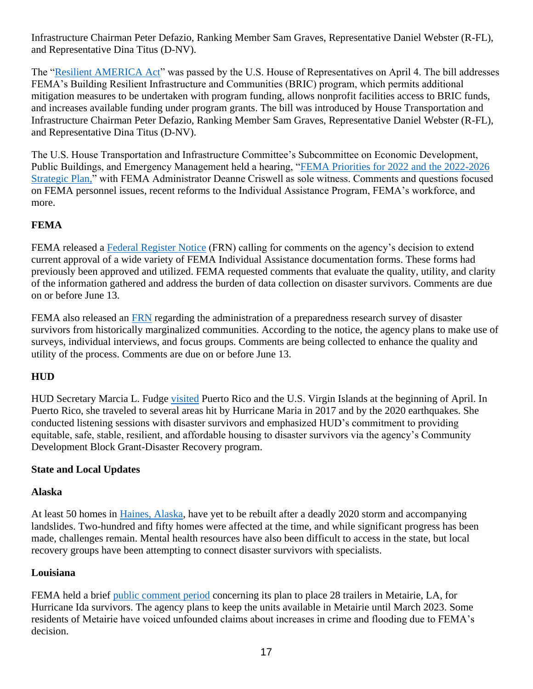Infrastructure Chairman Peter Defazio, Ranking Member Sam Graves, Representative Daniel Webster (R-FL), and Representative Dina Titus (D-NV).

The ["Resilient AMERICA](https://www.congress.gov/bill/117th-congress/house-bill/5689/actions) Act" was passed by the U.S. House of Representatives on April 4. The bill addresses FEMA's Building Resilient Infrastructure and Communities (BRIC) program, which permits additional mitigation measures to be undertaken with program funding, allows nonprofit facilities access to BRIC funds, and increases available funding under program grants. The bill was introduced by House Transportation and Infrastructure Chairman Peter Defazio, Ranking Member Sam Graves, Representative Daniel Webster (R-FL), and Representative Dina Titus (D-NV).

The U.S. House Transportation and Infrastructure Committee's Subcommittee on Economic Development, Public Buildings, and Emergency Management held a hearing, ["FEMA Priorities for 2022 and the 2022-2026](https://transportation.house.gov/committee-activity/hearings/fema-priorities-for-2022-and-the-2022-2026-strategic-plan)  [Strategic Plan,](https://transportation.house.gov/committee-activity/hearings/fema-priorities-for-2022-and-the-2022-2026-strategic-plan)" with FEMA Administrator Deanne Criswell as sole witness. Comments and questions focused on FEMA personnel issues, recent reforms to the Individual Assistance Program, FEMA's workforce, and more.

### **FEMA**

FEMA released a [Federal Register Notice](https://www.federalregister.gov/documents/2022/04/13/2022-07889/agency-information-collection-activities-proposed-collection-comment-request-federal-assistance-to) (FRN) calling for comments on the agency's decision to extend current approval of a wide variety of FEMA Individual Assistance documentation forms. These forms had previously been approved and utilized. FEMA requested comments that evaluate the quality, utility, and clarity of the information gathered and address the burden of data collection on disaster survivors. Comments are due on or before June 13.

FEMA also released an [FRN](https://www.regulations.gov/document/FEMA-2021-0023-0001/comment) regarding the administration of a preparedness research survey of disaster survivors from historically marginalized communities. According to the notice, the agency plans to make use of surveys, individual interviews, and focus groups. Comments are being collected to enhance the quality and utility of the process. Comments are due on or before June 13.

### **HUD**

HUD Secretary Marcia L. Fudge [visited](https://www.hud.gov/press/press_releases_media_advisories/hud_no_22_059) Puerto Rico and the U.S. Virgin Islands at the beginning of April. In Puerto Rico, she traveled to several areas hit by Hurricane Maria in 2017 and by the 2020 earthquakes. She conducted listening sessions with disaster survivors and emphasized HUD's commitment to providing equitable, safe, stable, resilient, and affordable housing to disaster survivors via the agency's Community Development Block Grant-Disaster Recovery program.

#### **State and Local Updates**

#### **Alaska**

At least 50 homes in [Haines, Alaska,](https://khns.org/50-haines-households-still-in-need-of-storm-recovery-assistance) have yet to be rebuilt after a deadly 2020 storm and accompanying landslides. Two-hundred and fifty homes were affected at the time, and while significant progress has been made, challenges remain. Mental health resources have also been difficult to access in the state, but local recovery groups have been attempting to connect disaster survivors with specialists.

#### **Louisiana**

FEMA held a brief [public comment period](https://www.wdsu.com/article/fema-trailer-camp-in-metairie-public-comment-window-closes-monday/39684836) concerning its plan to place 28 trailers in Metairie, LA, for Hurricane Ida survivors. The agency plans to keep the units available in Metairie until March 2023. Some residents of Metairie have voiced unfounded claims about increases in crime and flooding due to FEMA's decision.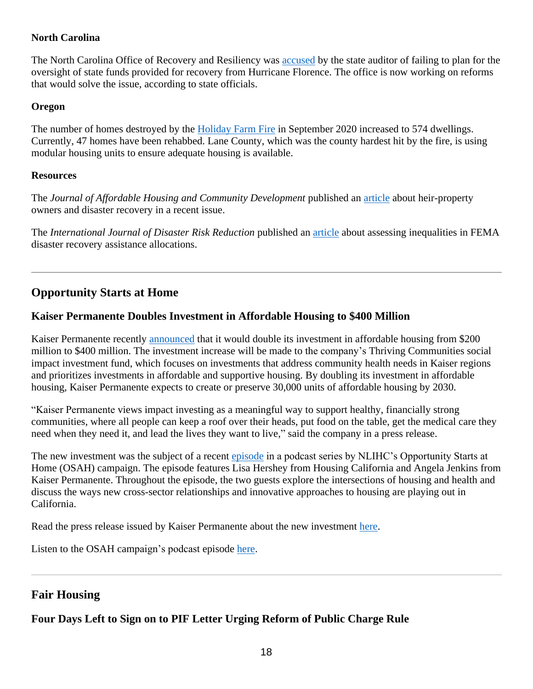### **North Carolina**

The North Carolina Office of Recovery and Resiliency was [accused](https://pulse.ncpolicywatch.org/2022/04/13/state-audit-blasts-department-of-public-safetys-handling-of-hurricane-florence-disaster-recovery-funds/#sthash.Lw3ZoJs3.dpbs) by the state auditor of failing to plan for the oversight of state funds provided for recovery from Hurricane Florence. The office is now working on reforms that would solve the issue, according to state officials.

#### **Oregon**

The number of homes destroyed by the [Holiday Farm Fire](https://nbc16.com/newsletter-daily/number-of-homes-lost-in-holiday-farm-fire-has-gone-up) in September 2020 increased to 574 dwellings. Currently, 47 homes have been rehabbed. Lane County, which was the county hardest hit by the fire, is using modular housing units to ensure adequate housing is available.

#### **Resources**

The *Journal of Affordable Housing and Community Development* published an [article](https://www.americanbar.org/content/dam/aba/publications/journal_of_affordable_housing/affordablehousingv30no3.pdf) about heir-property owners and disaster recovery in a recent issue.

The *International Journal of Disaster Risk Reduction* published an [article](https://www.sciencedirect.com/science/article/pii/S2212420922000747?via%3Dihub) about assessing inequalities in FEMA disaster recovery assistance allocations.

# **Opportunity Starts at Home**

## **Kaiser Permanente Doubles Investment in Affordable Housing to \$400 Million**

Kaiser Permanente recently [announced](https://www.prnewswire.com/news-releases/kaiser-permanente-doubles-investment-in-affordable-housing-economic-opportunity-301526019.html) that it would double its investment in affordable housing from \$200 million to \$400 million. The investment increase will be made to the company's Thriving Communities social impact investment fund, which focuses on investments that address community health needs in Kaiser regions and prioritizes investments in affordable and supportive housing. By doubling its investment in affordable housing, Kaiser Permanente expects to create or preserve 30,000 units of affordable housing by 2030.

"Kaiser Permanente views impact investing as a meaningful way to support healthy, financially strong communities, where all people can keep a roof over their heads, put food on the table, get the medical care they need when they need it, and lead the lives they want to live," said the company in a press release.

The new investment was the subject of a recent [episode](https://soundcloud.com/user-551236523/episode-6-housing-california-kaiser-permanente) in a podcast series by NLIHC's Opportunity Starts at Home (OSAH) campaign. The episode features Lisa Hershey from Housing California and Angela Jenkins from Kaiser Permanente. Throughout the episode, the two guests explore the intersections of housing and health and discuss the ways new cross-sector relationships and innovative approaches to housing are playing out in California.

Read the press release issued by Kaiser Permanente about the new investment [here.](https://www.prnewswire.com/news-releases/kaiser-permanente-doubles-investment-in-affordable-housing-economic-opportunity-301526019.html)

Listen to the OSAH campaign's podcast episode [here.](https://soundcloud.com/user-551236523/episode-6-housing-california-kaiser-permanente)

## **Fair Housing**

# **Four Days Left to Sign on to PIF Letter Urging Reform of Public Charge Rule**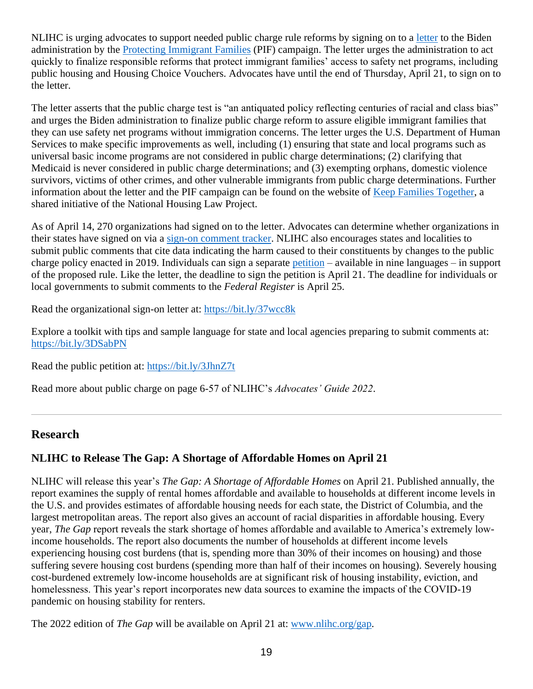NLIHC is urging advocates to support needed public charge rule reforms by signing on to a [letter](https://protectingimmigrantfamilies.org/signon/) to the Biden administration by the [Protecting Immigrant Families](https://protectingimmigrantfamilies.org/) (PIF) campaign. The letter urges the administration to act quickly to finalize responsible reforms that protect immigrant families' access to safety net programs, including public housing and Housing Choice Vouchers. Advocates have until the end of Thursday, April 21, to sign on to the letter.

The letter asserts that the public charge test is "an antiquated policy reflecting centuries of racial and class bias" and urges the Biden administration to finalize public charge reform to assure eligible immigrant families that they can use safety net programs without immigration concerns. The letter urges the U.S. Department of Human Services to make specific improvements as well, including (1) ensuring that state and local programs such as universal basic income programs are not considered in public charge determinations; (2) clarifying that Medicaid is never considered in public charge determinations; and (3) exempting orphans, domestic violence survivors, victims of other crimes, and other vulnerable immigrants from public charge determinations. Further information about the letter and the PIF campaign can be found on the website of [Keep Families Together,](https://www.keep-families-together.org/) a shared initiative of the National Housing Law Project.

As of April 14, 270 organizations had signed on to the letter. Advocates can determine whether organizations in their states have signed on via a [sign-on comment tracker.](https://protectingimmigrantfamilies.org/commenttracker/) NLIHC also encourages states and localities to submit public comments that cite data indicating the harm caused to their constituents by changes to the public charge policy enacted in 2019. Individuals can sign a separate [petition](https://protectingimmigrantfamilies.org/petition/) – available in nine languages – in support of the proposed rule. Like the letter, the deadline to sign the petition is April 21. The deadline for individuals or local governments to submit comments to the *Federal Register* is April 25.

Read the organizational sign-on letter at:<https://bit.ly/37wcc8k>

Explore a toolkit with tips and sample language for state and local agencies preparing to submit comments at: <https://bit.ly/3DSabPN>

Read the public petition at:<https://bit.ly/3JhnZ7t>

Read more about public charge on page 6-57 of NLIHC's *Advocates' Guide 2022*.

### **Research**

### **NLIHC to Release The Gap: A Shortage of Affordable Homes on April 21**

NLIHC will release this year's *The Gap: A Shortage of Affordable Homes* on April 21. Published annually, the report examines the supply of rental homes affordable and available to households at different income levels in the U.S. and provides estimates of affordable housing needs for each state, the District of Columbia, and the largest metropolitan areas. The report also gives an account of racial disparities in affordable housing. Every year, *The Gap* report reveals the stark shortage of homes affordable and available to America's extremely lowincome households. The report also documents the number of households at different income levels experiencing housing cost burdens (that is, spending more than 30% of their incomes on housing) and those suffering severe housing cost burdens (spending more than half of their incomes on housing). Severely housing cost-burdened extremely low-income households are at significant risk of housing instability, eviction, and homelessness. This year's report incorporates new data sources to examine the impacts of the COVID-19 pandemic on housing stability for renters.

The 2022 edition of *The Gap* will be available on April 21 at: [www.nlihc.org/gap.](http://www.nlihc.org/gap)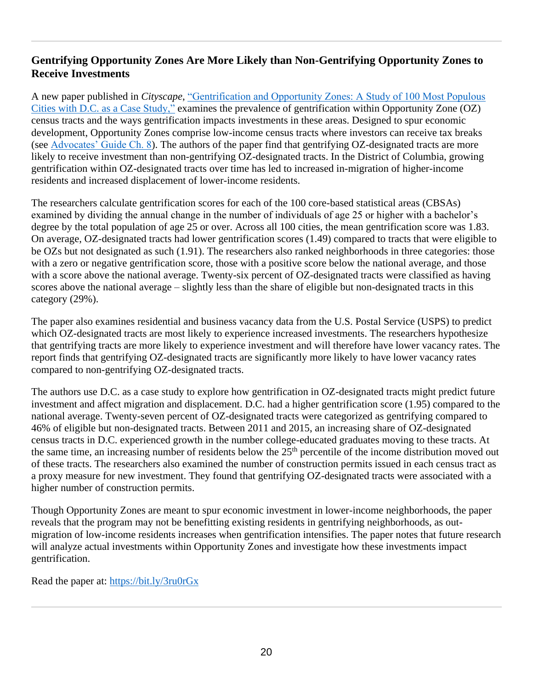### **Gentrifying Opportunity Zones Are More Likely than Non-Gentrifying Opportunity Zones to Receive Investments**

A new paper published in *Cityscape*, ["Gentrification and Opportunity Zones: A Study of 100 Most Populous](https://www.huduser.gov/portal/periodicals/cityscpe/vol24num1/article7.html)  [Cities with D.C. as a Case Study,"](https://www.huduser.gov/portal/periodicals/cityscpe/vol24num1/article7.html) examines the prevalence of gentrification within Opportunity Zone (OZ) census tracts and the ways gentrification impacts investments in these areas. Designed to spur economic development, Opportunity Zones comprise low-income census tracts where investors can receive tax breaks (see [Advocates' Guide Ch. 8\)](https://nlihc.org/explore-issues/publications-research/advocates-guide). The authors of the paper find that gentrifying OZ-designated tracts are more likely to receive investment than non-gentrifying OZ-designated tracts. In the District of Columbia, growing gentrification within OZ-designated tracts over time has led to increased in-migration of higher-income residents and increased displacement of lower-income residents.

The researchers calculate gentrification scores for each of the 100 core-based statistical areas (CBSAs) examined by dividing the annual change in the number of individuals of age 25 or higher with a bachelor's degree by the total population of age 25 or over. Across all 100 cities, the mean gentrification score was 1.83. On average, OZ-designated tracts had lower gentrification scores (1.49) compared to tracts that were eligible to be OZs but not designated as such (1.91). The researchers also ranked neighborhoods in three categories: those with a zero or negative gentrification score, those with a positive score below the national average, and those with a score above the national average. Twenty-six percent of OZ-designated tracts were classified as having scores above the national average – slightly less than the share of eligible but non-designated tracts in this category (29%).

The paper also examines residential and business vacancy data from the U.S. Postal Service (USPS) to predict which OZ-designated tracts are most likely to experience increased investments. The researchers hypothesize that gentrifying tracts are more likely to experience investment and will therefore have lower vacancy rates. The report finds that gentrifying OZ-designated tracts are significantly more likely to have lower vacancy rates compared to non-gentrifying OZ-designated tracts.

The authors use D.C. as a case study to explore how gentrification in OZ-designated tracts might predict future investment and affect migration and displacement. D.C. had a higher gentrification score (1.95) compared to the national average. Twenty-seven percent of OZ-designated tracts were categorized as gentrifying compared to 46% of eligible but non-designated tracts. Between 2011 and 2015, an increasing share of OZ-designated census tracts in D.C. experienced growth in the number college-educated graduates moving to these tracts. At the same time, an increasing number of residents below the  $25<sup>th</sup>$  percentile of the income distribution moved out of these tracts. The researchers also examined the number of construction permits issued in each census tract as a proxy measure for new investment. They found that gentrifying OZ-designated tracts were associated with a higher number of construction permits.

Though Opportunity Zones are meant to spur economic investment in lower-income neighborhoods, the paper reveals that the program may not be benefitting existing residents in gentrifying neighborhoods, as outmigration of low-income residents increases when gentrification intensifies. The paper notes that future research will analyze actual investments within Opportunity Zones and investigate how these investments impact gentrification.

Read the paper at:<https://bit.ly/3ru0rGx>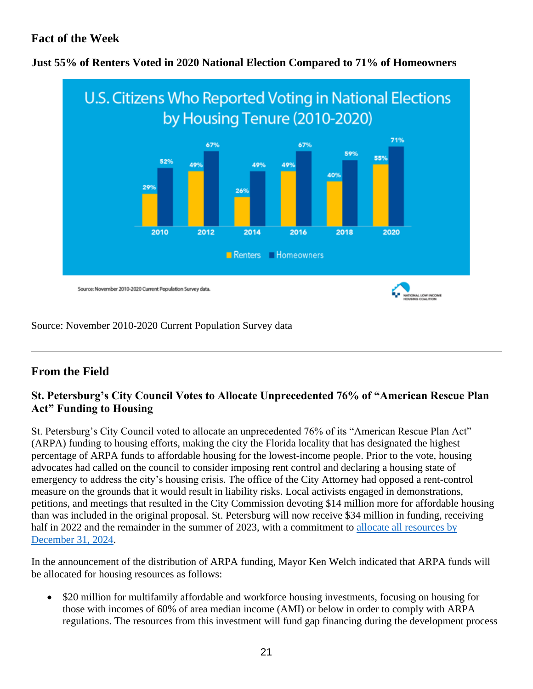# **Fact of the Week**



### **Just 55% of Renters Voted in 2020 National Election Compared to 71% of Homeowners**

#### Source: November 2010-2020 Current Population Survey data

# **From the Field**

## **St. Petersburg's City Council Votes to Allocate Unprecedented 76% of "American Rescue Plan Act" Funding to Housing**

St. Petersburg's City Council voted to allocate an unprecedented 76% of its "American Rescue Plan Act" (ARPA) funding to housing efforts, making the city the Florida locality that has designated the highest percentage of ARPA funds to affordable housing for the lowest-income people. Prior to the vote, housing advocates had called on the council to consider imposing rent control and declaring a housing state of emergency to address the city's housing crisis. The office of the City Attorney had opposed a rent-control measure on the grounds that it would result in liability risks. Local activists engaged in demonstrations, petitions, and meetings that resulted in the City Commission devoting \$14 million more for affordable housing than was included in the original proposal. St. Petersburg will now receive \$34 million in funding, receiving half in 2022 and the remainder in the summer of 2023, with a commitment to [allocate all resources by](https://stpetecatalyst.com/st-pete-to-spend-76-of-arpa-funds-on-housing/)  [December 31, 2024.](https://stpetecatalyst.com/st-pete-to-spend-76-of-arpa-funds-on-housing/)

In the announcement of the distribution of ARPA funding, Mayor Ken Welch indicated that ARPA funds will be allocated for housing resources as follows:

• \$20 million for multifamily affordable and workforce housing investments, focusing on housing for those with incomes of 60% of area median income (AMI) or below in order to comply with ARPA regulations. The resources from this investment will fund gap financing during the development process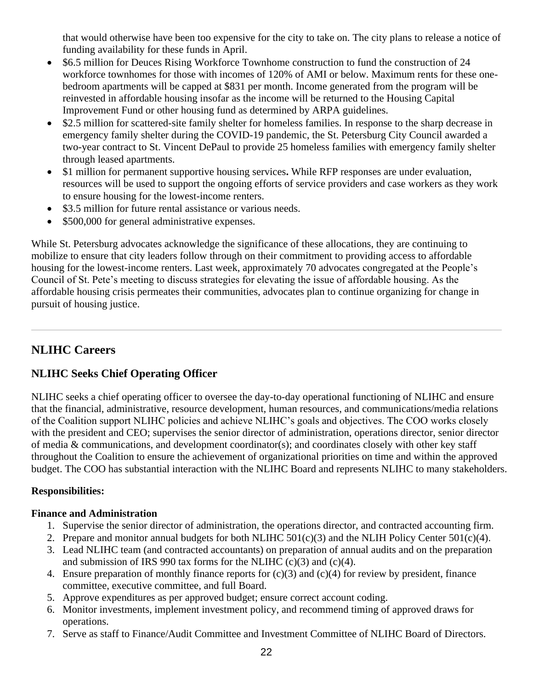that would otherwise have been too expensive for the city to take on. The city plans to release a notice of funding availability for these funds in April.

- \$6.5 million for Deuces Rising Workforce Townhome construction to fund the construction of 24 workforce townhomes for those with incomes of 120% of AMI or below. Maximum rents for these onebedroom apartments will be capped at \$831 per month. Income generated from the program will be reinvested in affordable housing insofar as the income will be returned to the Housing Capital Improvement Fund or other housing fund as determined by ARPA guidelines.
- \$2.5 million for scattered-site family shelter for homeless families. In response to the sharp decrease in emergency family shelter during the COVID-19 pandemic, the St. Petersburg City Council awarded a two-year contract to St. Vincent DePaul to provide 25 homeless families with emergency family shelter through leased apartments.
- \$1 million for permanent supportive housing services**.** While RFP responses are under evaluation, resources will be used to support the ongoing efforts of service providers and case workers as they work to ensure housing for the lowest-income renters.
- \$3.5 million for future rental assistance or various needs.
- \$500,000 for general administrative expenses.

While St. Petersburg advocates acknowledge the significance of these allocations, they are continuing to mobilize to ensure that city leaders follow through on their commitment to providing access to affordable housing for the lowest-income renters. Last week, approximately 70 advocates congregated at the People's Council of St. Pete's meeting to discuss strategies for elevating the issue of affordable housing. As the affordable housing crisis permeates their communities, advocates plan to continue organizing for change in pursuit of housing justice.

# **NLIHC Careers**

## **NLIHC Seeks Chief Operating Officer**

NLIHC seeks a chief operating officer to oversee the day-to-day operational functioning of NLIHC and ensure that the financial, administrative, resource development, human resources, and communications/media relations of the Coalition support NLIHC policies and achieve NLIHC's goals and objectives. The COO works closely with the president and CEO; supervises the senior director of administration, operations director, senior director of media & communications, and development coordinator(s); and coordinates closely with other key staff throughout the Coalition to ensure the achievement of organizational priorities on time and within the approved budget. The COO has substantial interaction with the NLIHC Board and represents NLIHC to many stakeholders.

### **Responsibilities:**

### **Finance and Administration**

- 1. Supervise the senior director of administration, the operations director, and contracted accounting firm.
- 2. Prepare and monitor annual budgets for both NLIHC  $501(c)(3)$  and the NLIH Policy Center  $501(c)(4)$ .
- 3. Lead NLIHC team (and contracted accountants) on preparation of annual audits and on the preparation and submission of IRS 990 tax forms for the NLIHC  $(c)(3)$  and  $(c)(4)$ .
- 4. Ensure preparation of monthly finance reports for (c)(3) and (c)(4) for review by president, finance committee, executive committee, and full Board.
- 5. Approve expenditures as per approved budget; ensure correct account coding.
- 6. Monitor investments, implement investment policy, and recommend timing of approved draws for operations.
- 7. Serve as staff to Finance/Audit Committee and Investment Committee of NLIHC Board of Directors.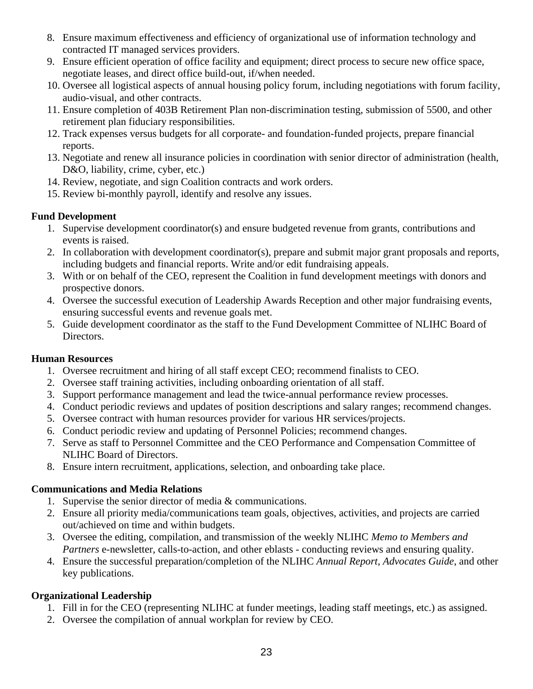- 8. Ensure maximum effectiveness and efficiency of organizational use of information technology and contracted IT managed services providers.
- 9. Ensure efficient operation of office facility and equipment; direct process to secure new office space, negotiate leases, and direct office build-out, if/when needed.
- 10. Oversee all logistical aspects of annual housing policy forum, including negotiations with forum facility, audio-visual, and other contracts.
- 11. Ensure completion of 403B Retirement Plan non-discrimination testing, submission of 5500, and other retirement plan fiduciary responsibilities.
- 12. Track expenses versus budgets for all corporate- and foundation-funded projects, prepare financial reports.
- 13. Negotiate and renew all insurance policies in coordination with senior director of administration (health, D&O, liability, crime, cyber, etc.)
- 14. Review, negotiate, and sign Coalition contracts and work orders.
- 15. Review bi-monthly payroll, identify and resolve any issues.

#### **Fund Development**

- 1. Supervise development coordinator(s) and ensure budgeted revenue from grants, contributions and events is raised.
- 2. In collaboration with development coordinator(s), prepare and submit major grant proposals and reports, including budgets and financial reports. Write and/or edit fundraising appeals.
- 3. With or on behalf of the CEO, represent the Coalition in fund development meetings with donors and prospective donors.
- 4. Oversee the successful execution of Leadership Awards Reception and other major fundraising events, ensuring successful events and revenue goals met.
- 5. Guide development coordinator as the staff to the Fund Development Committee of NLIHC Board of Directors.

### **Human Resources**

- 1. Oversee recruitment and hiring of all staff except CEO; recommend finalists to CEO.
- 2. Oversee staff training activities, including onboarding orientation of all staff.
- 3. Support performance management and lead the twice-annual performance review processes.
- 4. Conduct periodic reviews and updates of position descriptions and salary ranges; recommend changes.
- 5. Oversee contract with human resources provider for various HR services/projects.
- 6. Conduct periodic review and updating of Personnel Policies; recommend changes.
- 7. Serve as staff to Personnel Committee and the CEO Performance and Compensation Committee of NLIHC Board of Directors.
- 8. Ensure intern recruitment, applications, selection, and onboarding take place.

### **Communications and Media Relations**

- 1. Supervise the senior director of media & communications.
- 2. Ensure all priority media/communications team goals, objectives, activities, and projects are carried out/achieved on time and within budgets.
- 3. Oversee the editing, compilation, and transmission of the weekly NLIHC *Memo to Members and Partners* e-newsletter, calls-to-action, and other eblasts - conducting reviews and ensuring quality.
- 4. Ensure the successful preparation/completion of the NLIHC *Annual Report*, *Advocates Guide*, and other key publications.

### **Organizational Leadership**

- 1. Fill in for the CEO (representing NLIHC at funder meetings, leading staff meetings, etc.) as assigned.
- 2. Oversee the compilation of annual workplan for review by CEO.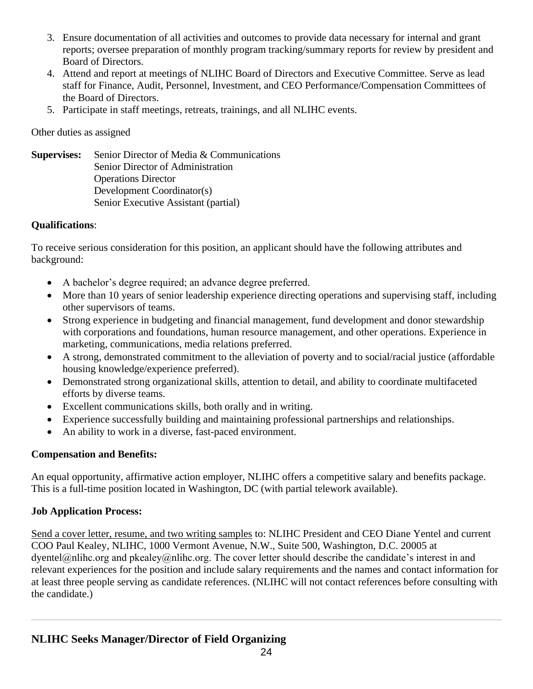- 3. Ensure documentation of all activities and outcomes to provide data necessary for internal and grant reports; oversee preparation of monthly program tracking/summary reports for review by president and Board of Directors.
- 4. Attend and report at meetings of NLIHC Board of Directors and Executive Committee. Serve as lead staff for Finance, Audit, Personnel, Investment, and CEO Performance/Compensation Committees of the Board of Directors.
- 5. Participate in staff meetings, retreats, trainings, and all NLIHC events.

Other duties as assigned

**Supervises:** Senior Director of Media & Communications Senior Director of Administration Operations Director Development Coordinator(s) Senior Executive Assistant (partial)

## **Qualifications**:

To receive serious consideration for this position, an applicant should have the following attributes and background:

- A bachelor's degree required; an advance degree preferred.
- More than 10 years of senior leadership experience directing operations and supervising staff, including other supervisors of teams.
- Strong experience in budgeting and financial management, fund development and donor stewardship with corporations and foundations, human resource management, and other operations. Experience in marketing, communications, media relations preferred.
- A strong, demonstrated commitment to the alleviation of poverty and to social/racial justice (affordable housing knowledge/experience preferred).
- Demonstrated strong organizational skills, attention to detail, and ability to coordinate multifaceted efforts by diverse teams.
- Excellent communications skills, both orally and in writing.
- Experience successfully building and maintaining professional partnerships and relationships.
- An ability to work in a diverse, fast-paced environment.

## **Compensation and Benefits:**

An equal opportunity, affirmative action employer, NLIHC offers a competitive salary and benefits package. This is a full-time position located in Washington, DC (with partial telework available).

## **Job Application Process:**

Send a cover letter, resume, and two writing samples to: NLIHC President and CEO Diane Yentel and current COO Paul Kealey, NLIHC, 1000 Vermont Avenue, N.W., Suite 500, Washington, D.C. 20005 at dyentel@nlihc.org and pkealey@nlihc.org. The cover letter should describe the candidate's interest in and relevant experiences for the position and include salary requirements and the names and contact information for at least three people serving as candidate references. (NLIHC will not contact references before consulting with the candidate.)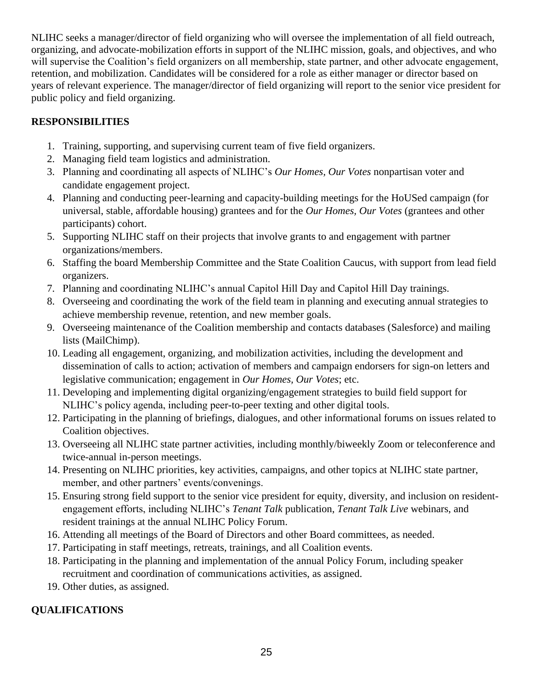NLIHC seeks a manager/director of field organizing who will oversee the implementation of all field outreach, organizing, and advocate-mobilization efforts in support of the NLIHC mission, goals, and objectives, and who will supervise the Coalition's field organizers on all membership, state partner, and other advocate engagement, retention, and mobilization. Candidates will be considered for a role as either manager or director based on years of relevant experience. The manager/director of field organizing will report to the senior vice president for public policy and field organizing.

## **RESPONSIBILITIES**

- 1. Training, supporting, and supervising current team of five field organizers.
- 2. Managing field team logistics and administration.
- 3. Planning and coordinating all aspects of NLIHC's *Our Homes, Our Votes* nonpartisan voter and candidate engagement project.
- 4. Planning and conducting peer-learning and capacity-building meetings for the HoUSed campaign (for universal, stable, affordable housing) grantees and for the *Our Homes, Our Votes* (grantees and other participants) cohort.
- 5. Supporting NLIHC staff on their projects that involve grants to and engagement with partner organizations/members.
- 6. Staffing the board Membership Committee and the State Coalition Caucus, with support from lead field organizers.
- 7. Planning and coordinating NLIHC's annual Capitol Hill Day and Capitol Hill Day trainings.
- 8. Overseeing and coordinating the work of the field team in planning and executing annual strategies to achieve membership revenue, retention, and new member goals.
- 9. Overseeing maintenance of the Coalition membership and contacts databases (Salesforce) and mailing lists (MailChimp).
- 10. Leading all engagement, organizing, and mobilization activities, including the development and dissemination of calls to action; activation of members and campaign endorsers for sign-on letters and legislative communication; engagement in *Our Homes, Our Votes*; etc.
- 11. Developing and implementing digital organizing/engagement strategies to build field support for NLIHC's policy agenda, including peer-to-peer texting and other digital tools.
- 12. Participating in the planning of briefings, dialogues, and other informational forums on issues related to Coalition objectives.
- 13. Overseeing all NLIHC state partner activities, including monthly/biweekly Zoom or teleconference and twice-annual in-person meetings.
- 14. Presenting on NLIHC priorities, key activities, campaigns, and other topics at NLIHC state partner, member, and other partners' events/convenings.
- 15. Ensuring strong field support to the senior vice president for equity, diversity, and inclusion on residentengagement efforts, including NLIHC's *Tenant Talk* publication, *Tenant Talk Live* webinars, and resident trainings at the annual NLIHC Policy Forum.
- 16. Attending all meetings of the Board of Directors and other Board committees, as needed.
- 17. Participating in staff meetings, retreats, trainings, and all Coalition events.
- 18. Participating in the planning and implementation of the annual Policy Forum, including speaker recruitment and coordination of communications activities, as assigned.
- 19. Other duties, as assigned.

# **QUALIFICATIONS**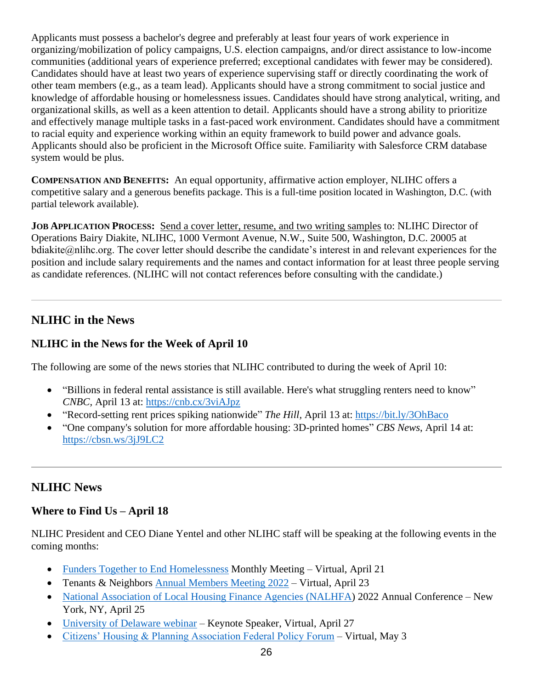Applicants must possess a bachelor's degree and preferably at least four years of work experience in organizing/mobilization of policy campaigns, U.S. election campaigns, and/or direct assistance to low-income communities (additional years of experience preferred; exceptional candidates with fewer may be considered). Candidates should have at least two years of experience supervising staff or directly coordinating the work of other team members (e.g., as a team lead). Applicants should have a strong commitment to social justice and knowledge of affordable housing or homelessness issues. Candidates should have strong analytical, writing, and organizational skills, as well as a keen attention to detail. Applicants should have a strong ability to prioritize and effectively manage multiple tasks in a fast-paced work environment. Candidates should have a commitment to racial equity and experience working within an equity framework to build power and advance goals. Applicants should also be proficient in the Microsoft Office suite. Familiarity with Salesforce CRM database system would be plus.

**COMPENSATION AND BENEFITS:** An equal opportunity, affirmative action employer, NLIHC offers a competitive salary and a generous benefits package. This is a full-time position located in Washington, D.C. (with partial telework available).

**JOB APPLICATION PROCESS:** Send a cover letter, resume, and two writing samples to: NLIHC Director of Operations Bairy Diakite, NLIHC, 1000 Vermont Avenue, N.W., Suite 500, Washington, D.C. 20005 at bdiakite@nlihc.org. The cover letter should describe the candidate's interest in and relevant experiences for the position and include salary requirements and the names and contact information for at least three people serving as candidate references. (NLIHC will not contact references before consulting with the candidate.)

# **NLIHC in the News**

## **NLIHC in the News for the Week of April 10**

The following are some of the news stories that NLIHC contributed to during the week of April 10:

- "Billions in federal rental assistance is still available. Here's what struggling renters need to know" *CNBC,* April 13 at:<https://cnb.cx/3viAJpz>
- "Record-setting rent prices spiking nationwide" *The Hill,* April 13 at:<https://bit.ly/3OhBaco>
- "One company's solution for more affordable housing: 3D-printed homes" *CBS News*, April 14 at: <https://cbsn.ws/3jJ9LC2>

# **NLIHC News**

## **Where to Find Us – April 18**

NLIHC President and CEO Diane Yentel and other NLIHC staff will be speaking at the following events in the coming months:

- [Funders Together to End Homelessness](https://www.funderstogether.org/events) Monthly Meeting Virtual, April 21
- Tenants & Neighbors [Annual Members Meeting 2022](https://crm.tandn.org/events/event/virtual-annual-members-meeting-2022/) Virtual, April 23
- [National Association of Local Housing Finance Agencies \(NALHFA\)](https://nam04.safelinks.protection.outlook.com/?url=http%3A%2F%2Fwww.nalhfa.org%2F&data=04%7C01%7C%7C85398fd9d3f8476d2cd508da1bff25d4%7Cd9ab7747cd104372b0b3229c61592adf%7C0%7C0%7C637853079972286512%7CUnknown%7CTWFpbGZsb3d8eyJWIjoiMC4wLjAwMDAiLCJQIjoiV2luMzIiLCJBTiI6Ik1haWwiLCJXVCI6Mn0%3D%7C1000&sdata=tYRhyVFlcJ9oXOda%2F0%2BEjI1xoHochK5SLiR1MQfMEZE%3D&reserved=0) 2022 Annual Conference New York, NY, April 25
- [University of Delaware webinar](https://www.udel.edu/) Keynote Speaker, Virtual, April 27
- [Citizens' Housing & Planning Association Federal Policy Forum](https://www.chapa.org/) Virtual, May 3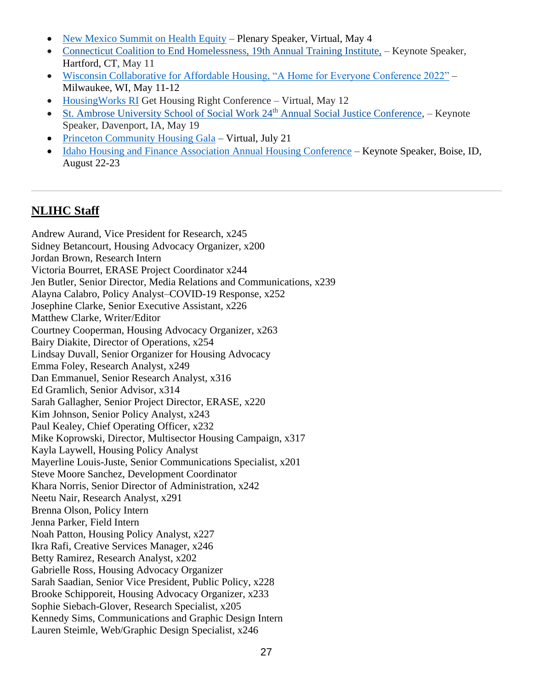- [New Mexico Summit on Health Equity](file://///nlihc-file.nlihcad.local/shared/MEMO2MEM/2022%20Memo/1.%20Apr/April%2011/Master/2022%20Summit%20on%20Health%20Equity%20-%20NewMexicoHealthEquity.org%20(nmhealthequity.org)) Plenary Speaker, Virtual, May 4
- [Connecticut Coalition to End Homelessness, 19th Annual Training Institute,](https://nam04.safelinks.protection.outlook.com/?url=https%3A%2F%2Fnlihc.us4.list-manage.com%2Ftrack%2Fclick%3Fu%3De702259618becdc3f0451bd5d%26id%3D0a07af1f9c%26e%3D1f62443a73&data=04%7C01%7C%7Cd4f86c2808314d1d3dba08d9faed43d2%7Cd9ab7747cd104372b0b3229c61592adf%7C0%7C0%7C637816719238131402%7CUnknown%7CTWFpbGZsb3d8eyJWIjoiMC4wLjAwMDAiLCJQIjoiV2luMzIiLCJBTiI6Ik1haWwiLCJXVCI6Mn0%3D%7C3000&sdata=fuuzWu4wnuK0vtkCF7mnNLlt65teaqkx7kv5okGlD2Y%3D&reserved=0) Keynote Speaker, Hartford, CT, May 11
- [Wisconsin Collaborative for Affordable Housing, "A Home for Everyone Conference 2022"](https://ahomeforeveryone.events/) Milwaukee, WI, May 11-12
- [HousingWorks RI](https://www.housingworksri.org/) Get Housing Right Conference Virtual, May 12
- [St. Ambrose University School of Social Work 24](https://nam04.safelinks.protection.outlook.com/?url=https%3A%2F%2Fnlihc.us4.list-manage.com%2Ftrack%2Fclick%3Fu%3De702259618becdc3f0451bd5d%26id%3Dcff378f09d%26e%3D1f62443a73&data=04%7C01%7C%7Cd4f86c2808314d1d3dba08d9faed43d2%7Cd9ab7747cd104372b0b3229c61592adf%7C0%7C0%7C637816719238131402%7CUnknown%7CTWFpbGZsb3d8eyJWIjoiMC4wLjAwMDAiLCJQIjoiV2luMzIiLCJBTiI6Ik1haWwiLCJXVCI6Mn0%3D%7C3000&sdata=AVkiZYwfk%2F1Lxw0v4j%2BU%2Fonc2UGGneWqJ1OMCzSZAYs%3D&reserved=0)<sup>th</sup> Annual Social Justice Conference, Keynote Speaker, Davenport, IA, May 19
- [Princeton Community Housing Gala](https://www.pchhomes.org/) Virtual, July 21
- [Idaho Housing and Finance Association Annual Housing Conference](https://www.idahohousing.com/housing-conference/) Keynote Speaker, Boise, ID, August 22-23

# **[NLIHC](https://nlihc.org/about/staff) Staff**

Andrew Aurand, Vice President for Research, x245 Sidney Betancourt, Housing Advocacy Organizer, x200 Jordan Brown, Research Intern Victoria Bourret, ERASE Project Coordinator x244 Jen Butler, Senior Director, Media Relations and Communications, x239 Alayna Calabro, Policy Analyst–COVID-19 Response, x252 Josephine Clarke, Senior Executive Assistant, x226 Matthew Clarke, Writer/Editor Courtney Cooperman, Housing Advocacy Organizer, x263 Bairy Diakite, Director of Operations, x254 Lindsay Duvall, Senior Organizer for Housing Advocacy Emma Foley, Research Analyst, x249 Dan Emmanuel, Senior Research Analyst, x316 Ed Gramlich, Senior Advisor, x314 Sarah Gallagher, Senior Project Director, ERASE, x220 Kim Johnson, Senior Policy Analyst, x243 Paul Kealey, Chief Operating Officer, x232 Mike Koprowski, Director, Multisector Housing Campaign, x317 Kayla Laywell, Housing Policy Analyst Mayerline Louis-Juste, Senior Communications Specialist, x201 Steve Moore Sanchez, Development Coordinator Khara Norris, Senior Director of Administration, x242 Neetu Nair, Research Analyst, x291 Brenna Olson, Policy Intern Jenna Parker, Field Intern Noah Patton, Housing Policy Analyst, x227 Ikra Rafi, Creative Services Manager, x246 Betty Ramirez, Research Analyst, x202 Gabrielle Ross, Housing Advocacy Organizer Sarah Saadian, Senior Vice President, Public Policy, x228 Brooke Schipporeit, Housing Advocacy Organizer, x233 Sophie Siebach-Glover, Research Specialist, x205 Kennedy Sims, Communications and Graphic Design Intern Lauren Steimle, Web/Graphic Design Specialist, x246